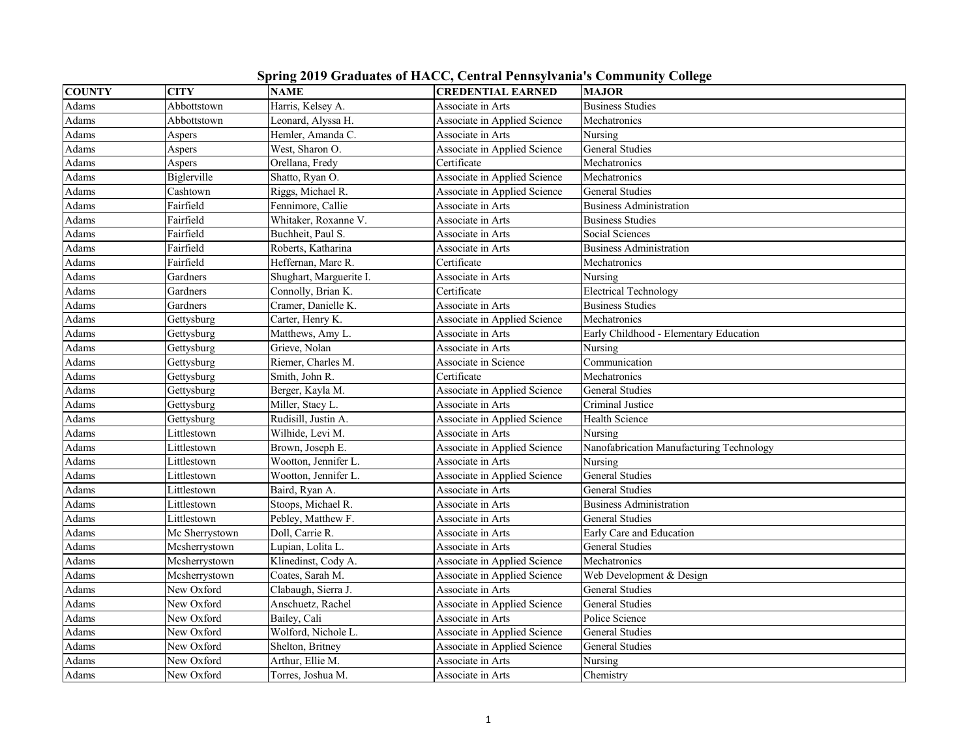|  |  |  |  | Spring 2019 Graduates of HACC, Central Pennsylvania's Community College |  |
|--|--|--|--|-------------------------------------------------------------------------|--|
|  |  |  |  |                                                                         |  |

| <b>COUNTY</b> | <b>CITY</b>    | <b>NAME</b>             | <b>CREDENTIAL EARNED</b>     | <b>MAJOR</b>                             |
|---------------|----------------|-------------------------|------------------------------|------------------------------------------|
| Adams         | Abbottstown    | Harris, Kelsey A.       | Associate in Arts            | <b>Business Studies</b>                  |
| Adams         | Abbottstown    | Leonard, Alyssa H.      | Associate in Applied Science | Mechatronics                             |
| Adams         | Aspers         | Hemler, Amanda C.       | Associate in Arts            | Nursing                                  |
| Adams         | Aspers         | West, Sharon O.         | Associate in Applied Science | <b>General Studies</b>                   |
| Adams         | Aspers         | Orellana, Fredy         | Certificate                  | Mechatronics                             |
| Adams         | Biglerville    | Shatto, Ryan O.         | Associate in Applied Science | Mechatronics                             |
| Adams         | Cashtown       | Riggs, Michael R.       | Associate in Applied Science | <b>General Studies</b>                   |
| Adams         | Fairfield      | Fennimore, Callie       | Associate in Arts            | <b>Business Administration</b>           |
| Adams         | Fairfield      | Whitaker, Roxanne V.    | Associate in Arts            | <b>Business Studies</b>                  |
| Adams         | Fairfield      | Buchheit, Paul S.       | Associate in Arts            | <b>Social Sciences</b>                   |
| Adams         | Fairfield      | Roberts, Katharina      | Associate in Arts            | <b>Business Administration</b>           |
| Adams         | Fairfield      | Heffernan, Marc R.      | Certificate                  | Mechatronics                             |
| Adams         | Gardners       | Shughart, Marguerite I. | Associate in Arts            | Nursing                                  |
| Adams         | Gardners       | Connolly, Brian K.      | Certificate                  | <b>Electrical Technology</b>             |
| Adams         | Gardners       | Cramer, Danielle K.     | Associate in Arts            | <b>Business Studies</b>                  |
| Adams         | Gettysburg     | Carter, Henry K.        | Associate in Applied Science | Mechatronics                             |
| Adams         | Gettysburg     | Matthews, Amy L.        | Associate in Arts            | Early Childhood - Elementary Education   |
| Adams         | Gettysburg     | Grieve, Nolan           | Associate in Arts            | Nursing                                  |
| Adams         | Gettysburg     | Riemer, Charles M.      | Associate in Science         | Communication                            |
| Adams         | Gettysburg     | Smith, John R.          | Certificate                  | Mechatronics                             |
| Adams         | Gettysburg     | Berger, Kayla M.        | Associate in Applied Science | <b>General Studies</b>                   |
| Adams         | Gettysburg     | Miller, Stacy L.        | Associate in Arts            | Criminal Justice                         |
| Adams         | Gettysburg     | Rudisill, Justin A.     | Associate in Applied Science | Health Science                           |
| Adams         | Littlestown    | Wilhide, Levi M.        | Associate in Arts            | Nursing                                  |
| Adams         | Littlestown    | Brown, Joseph E.        | Associate in Applied Science | Nanofabrication Manufacturing Technology |
| Adams         | Littlestown    | Wootton, Jennifer L.    | Associate in Arts            | Nursing                                  |
| Adams         | Littlestown    | Wootton, Jennifer L.    | Associate in Applied Science | <b>General Studies</b>                   |
| Adams         | Littlestown    | Baird, Ryan A.          | Associate in Arts            | General Studies                          |
| Adams         | Littlestown    | Stoops, Michael R.      | Associate in Arts            | <b>Business Administration</b>           |
| Adams         | Littlestown    | Pebley, Matthew F.      | Associate in Arts            | <b>General Studies</b>                   |
| Adams         | Mc Sherrystown | Doll, Carrie R.         | Associate in Arts            | Early Care and Education                 |
| Adams         | Mcsherrystown  | Lupian, Lolita L.       | Associate in Arts            | <b>General Studies</b>                   |
| Adams         | Mcsherrystown  | Klinedinst, Cody A.     | Associate in Applied Science | Mechatronics                             |
| Adams         | Mcsherrystown  | Coates, Sarah M.        | Associate in Applied Science | Web Development & Design                 |
| Adams         | New Oxford     | Clabaugh, Sierra J.     | Associate in Arts            | <b>General Studies</b>                   |
| Adams         | New Oxford     | Anschuetz, Rachel       | Associate in Applied Science | <b>General Studies</b>                   |
| Adams         | New Oxford     | Bailey, Cali            | Associate in Arts            | Police Science                           |
| Adams         | New Oxford     | Wolford, Nichole L.     | Associate in Applied Science | <b>General Studies</b>                   |
| Adams         | New Oxford     | Shelton, Britney        | Associate in Applied Science | General Studies                          |
| Adams         | New Oxford     | Arthur, Ellie M.        | Associate in Arts            | Nursing                                  |
| Adams         | New Oxford     | Torres, Joshua M.       | Associate in Arts            | Chemistry                                |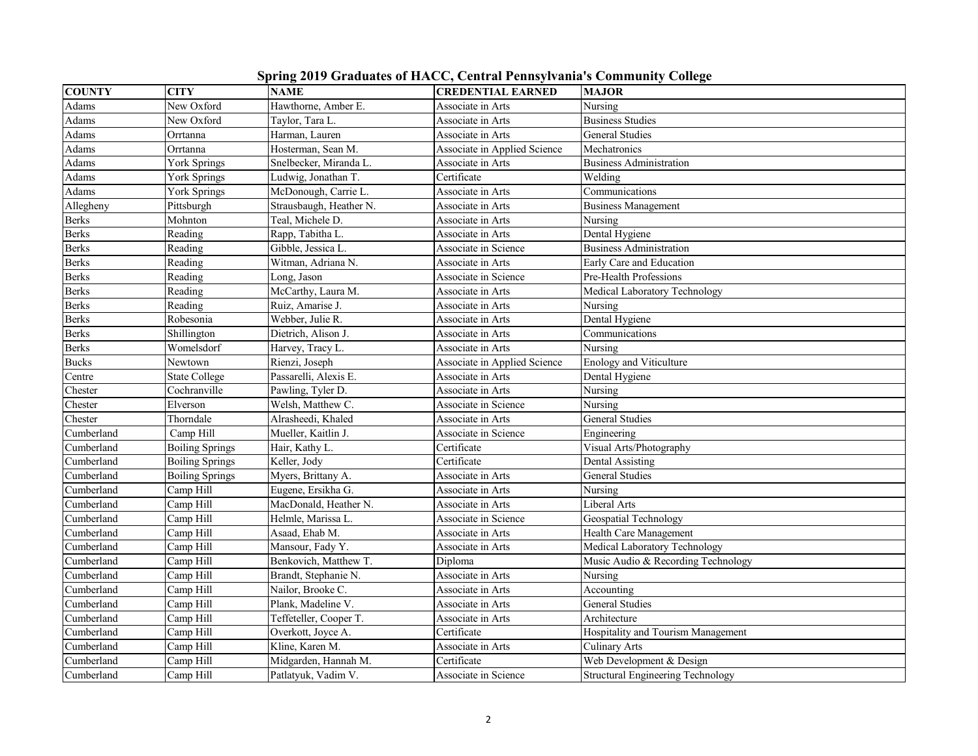|               |                        |                         | $\beta$ , $\alpha$ , $\beta$ , $\beta$ , $\alpha$ , $\alpha$ , $\alpha$ , $\alpha$ , $\alpha$ , $\alpha$ , $\alpha$ , $\alpha$ , $\alpha$ , $\alpha$ , $\alpha$ , $\alpha$ , $\alpha$ , $\alpha$ , $\alpha$ , $\alpha$ , $\alpha$ , $\alpha$ , $\alpha$ , $\alpha$ , $\alpha$ , $\alpha$ , $\alpha$ , $\alpha$ , $\alpha$ , $\alpha$ , $\alpha$ , $\alpha$ |                                          |
|---------------|------------------------|-------------------------|------------------------------------------------------------------------------------------------------------------------------------------------------------------------------------------------------------------------------------------------------------------------------------------------------------------------------------------------------------|------------------------------------------|
| <b>COUNTY</b> | <b>CITY</b>            | <b>NAME</b>             | <b>CREDENTIAL EARNED</b>                                                                                                                                                                                                                                                                                                                                   | <b>MAJOR</b>                             |
| Adams         | New Oxford             | Hawthorne, Amber E.     | Associate in Arts                                                                                                                                                                                                                                                                                                                                          | Nursing                                  |
| Adams         | New Oxford             | Taylor, Tara L.         | Associate in Arts                                                                                                                                                                                                                                                                                                                                          | <b>Business Studies</b>                  |
| Adams         | Orrtanna               | Harman, Lauren          | Associate in Arts                                                                                                                                                                                                                                                                                                                                          | General Studies                          |
| Adams         | Orrtanna               | Hosterman, Sean M.      | Associate in Applied Science                                                                                                                                                                                                                                                                                                                               | Mechatronics                             |
| Adams         | York Springs           | Snelbecker, Miranda L.  | Associate in Arts                                                                                                                                                                                                                                                                                                                                          | <b>Business Administration</b>           |
| Adams         | York Springs           | Ludwig, Jonathan T.     | Certificate                                                                                                                                                                                                                                                                                                                                                | Welding                                  |
| Adams         | York Springs           | McDonough, Carrie L.    | Associate in Arts                                                                                                                                                                                                                                                                                                                                          | Communications                           |
| Allegheny     | Pittsburgh             | Strausbaugh, Heather N. | Associate in Arts                                                                                                                                                                                                                                                                                                                                          | <b>Business Management</b>               |
| <b>Berks</b>  | Mohnton                | Teal, Michele D.        | Associate in Arts                                                                                                                                                                                                                                                                                                                                          | Nursing                                  |
| <b>Berks</b>  | Reading                | Rapp, Tabitha L.        | Associate in Arts                                                                                                                                                                                                                                                                                                                                          | Dental Hygiene                           |
| <b>Berks</b>  | Reading                | Gibble, Jessica L.      | Associate in Science                                                                                                                                                                                                                                                                                                                                       | <b>Business Administration</b>           |
| <b>Berks</b>  | Reading                | Witman, Adriana N.      | Associate in Arts                                                                                                                                                                                                                                                                                                                                          | Early Care and Education                 |
| <b>Berks</b>  | Reading                | Long, Jason             | Associate in Science                                                                                                                                                                                                                                                                                                                                       | Pre-Health Professions                   |
| <b>Berks</b>  | Reading                | McCarthy, Laura M.      | Associate in Arts                                                                                                                                                                                                                                                                                                                                          | Medical Laboratory Technology            |
| <b>Berks</b>  | Reading                | Ruiz, Amarise J.        | Associate in Arts                                                                                                                                                                                                                                                                                                                                          | Nursing                                  |
| <b>Berks</b>  | Robesonia              | Webber, Julie R.        | Associate in Arts                                                                                                                                                                                                                                                                                                                                          | Dental Hygiene                           |
| <b>Berks</b>  | Shillington            | Dietrich, Alison J.     | Associate in Arts                                                                                                                                                                                                                                                                                                                                          | Communications                           |
| <b>Berks</b>  | Womelsdorf             | Harvey, Tracy L.        | Associate in Arts                                                                                                                                                                                                                                                                                                                                          | Nursing                                  |
| <b>Bucks</b>  | Newtown                | Rienzi, Joseph          | Associate in Applied Science                                                                                                                                                                                                                                                                                                                               | <b>Enology and Viticulture</b>           |
| Centre        | State College          | Passarelli, Alexis E.   | Associate in Arts                                                                                                                                                                                                                                                                                                                                          | Dental Hygiene                           |
| Chester       | Cochranville           | Pawling, Tyler D.       | Associate in Arts                                                                                                                                                                                                                                                                                                                                          | Nursing                                  |
| Chester       | Elverson               | Welsh, Matthew C.       | Associate in Science                                                                                                                                                                                                                                                                                                                                       | Nursing                                  |
| Chester       | Thorndale              | Alrasheedi, Khaled      | Associate in Arts                                                                                                                                                                                                                                                                                                                                          | <b>General Studies</b>                   |
| Cumberland    | Camp Hill              | Mueller, Kaitlin J.     | Associate in Science                                                                                                                                                                                                                                                                                                                                       | Engineering                              |
| Cumberland    | <b>Boiling Springs</b> | Hair, Kathy L.          | Certificate                                                                                                                                                                                                                                                                                                                                                | Visual Arts/Photography                  |
| Cumberland    | <b>Boiling Springs</b> | Keller, Jody            | Certificate                                                                                                                                                                                                                                                                                                                                                | Dental Assisting                         |
| Cumberland    | <b>Boiling Springs</b> | Myers, Brittany A.      | Associate in Arts                                                                                                                                                                                                                                                                                                                                          | <b>General Studies</b>                   |
| Cumberland    | Camp Hill              | Eugene, Ersikha G.      | Associate in Arts                                                                                                                                                                                                                                                                                                                                          | Nursing                                  |
| Cumberland    | Camp Hill              | MacDonald, Heather N.   | Associate in Arts                                                                                                                                                                                                                                                                                                                                          | Liberal Arts                             |
| Cumberland    | Camp Hill              | Helmle, Marissa L.      | Associate in Science                                                                                                                                                                                                                                                                                                                                       | Geospatial Technology                    |
| Cumberland    | Camp Hill              | Asaad, Ehab M.          | Associate in Arts                                                                                                                                                                                                                                                                                                                                          | Health Care Management                   |
| Cumberland    | Camp Hill              | Mansour, Fady Y.        | Associate in Arts                                                                                                                                                                                                                                                                                                                                          | Medical Laboratory Technology            |
| Cumberland    | Camp Hill              | Benkovich, Matthew T.   | Diploma                                                                                                                                                                                                                                                                                                                                                    | Music Audio & Recording Technology       |
| Cumberland    | Camp Hill              | Brandt, Stephanie N.    | Associate in Arts                                                                                                                                                                                                                                                                                                                                          | Nursing                                  |
| Cumberland    | Camp Hill              | Nailor, Brooke C.       | Associate in Arts                                                                                                                                                                                                                                                                                                                                          | Accounting                               |
| Cumberland    | Camp Hill              | Plank, Madeline V.      | Associate in Arts                                                                                                                                                                                                                                                                                                                                          | <b>General Studies</b>                   |
| Cumberland    | Camp Hill              | Teffeteller, Cooper T.  | Associate in Arts                                                                                                                                                                                                                                                                                                                                          | Architecture                             |
| Cumberland    | Camp Hill              | Overkott, Joyce A.      | Certificate                                                                                                                                                                                                                                                                                                                                                | Hospitality and Tourism Management       |
| Cumberland    | Camp Hill              | Kline, Karen M.         | Associate in Arts                                                                                                                                                                                                                                                                                                                                          | <b>Culinary Arts</b>                     |
| Cumberland    | Camp Hill              | Midgarden, Hannah M.    | Certificate                                                                                                                                                                                                                                                                                                                                                | Web Development & Design                 |
| Cumberland    | Camp Hill              | Patlatyuk, Vadim V.     | Associate in Science                                                                                                                                                                                                                                                                                                                                       | <b>Structural Engineering Technology</b> |

**Spring 2019 Graduates of HACC, Central Pennsylvania's Community College**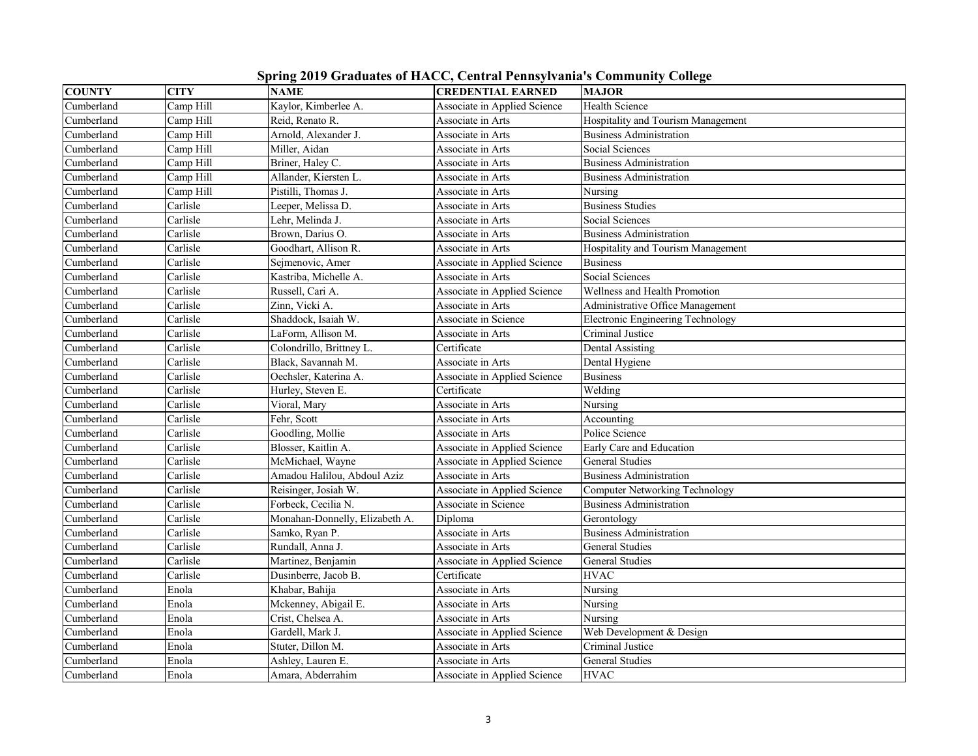|  |  |  | Spring 2019 Graduates of HACC, Central Pennsylvania's Community College |  |  |
|--|--|--|-------------------------------------------------------------------------|--|--|
|  |  |  |                                                                         |  |  |

| <b>COUNTY</b> | <b>CITY</b> | <b>NAME</b>                    | <b>CREDENTIAL EARNED</b>     | <b>MAJOR</b>                          |
|---------------|-------------|--------------------------------|------------------------------|---------------------------------------|
| Cumberland    | Camp Hill   | Kaylor, Kimberlee A.           | Associate in Applied Science | Health Science                        |
| Cumberland    | Camp Hill   | Reid, Renato R.                | Associate in Arts            | Hospitality and Tourism Management    |
| Cumberland    | Camp Hill   | Arnold, Alexander J.           | Associate in Arts            | <b>Business Administration</b>        |
| Cumberland    | Camp Hill   | Miller, Aidan                  | Associate in Arts            | Social Sciences                       |
| Cumberland    | Camp Hill   | Briner, Haley C.               | Associate in Arts            | <b>Business Administration</b>        |
| Cumberland    | Camp Hill   | Allander, Kiersten L.          | Associate in Arts            | <b>Business Administration</b>        |
| Cumberland    | Camp Hill   | Pistilli, Thomas J.            | Associate in Arts            | Nursing                               |
| Cumberland    | Carlisle    | Leeper, Melissa D.             | Associate in Arts            | <b>Business Studies</b>               |
| Cumberland    | Carlisle    | Lehr, Melinda J.               | Associate in Arts            | Social Sciences                       |
| Cumberland    | Carlisle    | Brown, Darius O.               | Associate in Arts            | <b>Business Administration</b>        |
| Cumberland    | Carlisle    | Goodhart, Allison R.           | Associate in Arts            | Hospitality and Tourism Management    |
| Cumberland    | Carlisle    | Sejmenovic, Amer               | Associate in Applied Science | <b>Business</b>                       |
| Cumberland    | Carlisle    | Kastriba, Michelle A.          | Associate in Arts            | Social Sciences                       |
| Cumberland    | Carlisle    | Russell, Cari A.               | Associate in Applied Science | Wellness and Health Promotion         |
| Cumberland    | Carlisle    | Zinn, Vicki A.                 | Associate in Arts            | Administrative Office Management      |
| Cumberland    | Carlisle    | Shaddock, Isaiah W.            | Associate in Science         | Electronic Engineering Technology     |
| Cumberland    | Carlisle    | LaForm, Allison M.             | Associate in Arts            | Criminal Justice                      |
| Cumberland    | Carlisle    | Colondrillo, Brittney L.       | Certificate                  | <b>Dental Assisting</b>               |
| Cumberland    | Carlisle    | Black, Savannah M.             | Associate in Arts            | Dental Hygiene                        |
| Cumberland    | Carlisle    | Oechsler, Katerina A.          | Associate in Applied Science | <b>Business</b>                       |
| Cumberland    | Carlisle    | Hurley, Steven E.              | Certificate                  | Welding                               |
| Cumberland    | Carlisle    | Vioral, Mary                   | Associate in Arts            | Nursing                               |
| Cumberland    | Carlisle    | Fehr, Scott                    | Associate in Arts            | Accounting                            |
| Cumberland    | Carlisle    | Goodling, Mollie               | Associate in Arts            | Police Science                        |
| Cumberland    | Carlisle    | Blosser, Kaitlin A.            | Associate in Applied Science | Early Care and Education              |
| Cumberland    | Carlisle    | McMichael, Wayne               | Associate in Applied Science | <b>General Studies</b>                |
| Cumberland    | Carlisle    | Amadou Halilou, Abdoul Aziz    | Associate in Arts            | <b>Business Administration</b>        |
| Cumberland    | Carlisle    | Reisinger, Josiah W.           | Associate in Applied Science | <b>Computer Networking Technology</b> |
| Cumberland    | Carlisle    | Forbeck, Cecilia N.            | Associate in Science         | <b>Business Administration</b>        |
| Cumberland    | Carlisle    | Monahan-Donnelly, Elizabeth A. | Diploma                      | Gerontology                           |
| Cumberland    | Carlisle    | Samko, Ryan P.                 | Associate in Arts            | <b>Business Administration</b>        |
| Cumberland    | Carlisle    | Rundall, Anna J.               | Associate in Arts            | General Studies                       |
| Cumberland    | Carlisle    | Martinez, Benjamin             | Associate in Applied Science | General Studies                       |
| Cumberland    | Carlisle    | Dusinberre, Jacob B.           | Certificate                  | <b>HVAC</b>                           |
| Cumberland    | Enola       | Khabar, Bahija                 | Associate in Arts            | Nursing                               |
| Cumberland    | Enola       | Mckenney, Abigail E.           | Associate in Arts            | Nursing                               |
| Cumberland    | Enola       | Crist, Chelsea A.              | Associate in Arts            | Nursing                               |
| Cumberland    | Enola       | Gardell, Mark J.               | Associate in Applied Science | Web Development & Design              |
| Cumberland    | Enola       | Stuter, Dillon M.              | Associate in Arts            | Criminal Justice                      |
| Cumberland    | Enola       | Ashley, Lauren E.              | Associate in Arts            | <b>General Studies</b>                |
| Cumberland    | Enola       | Amara, Abderrahim              | Associate in Applied Science | <b>HVAC</b>                           |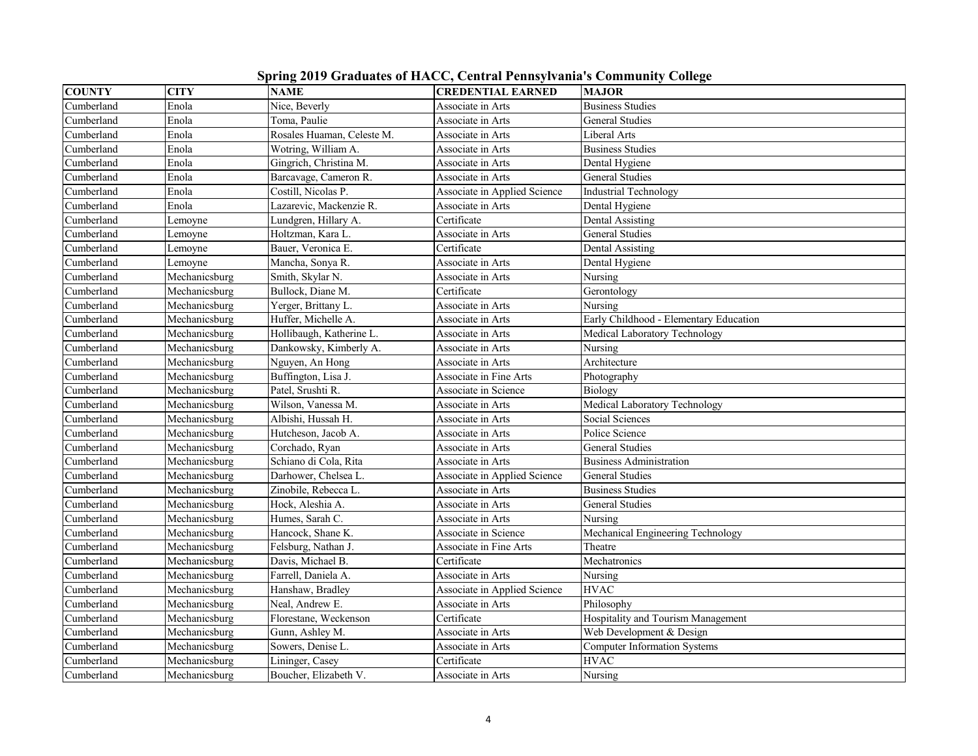|               |               |                            | Spring 2019 Graduates of HACC, Central Pennsylvania's Community College |                                        |
|---------------|---------------|----------------------------|-------------------------------------------------------------------------|----------------------------------------|
| <b>COUNTY</b> | <b>CITY</b>   | <b>NAME</b>                | <b>CREDENTIAL EARNED</b>                                                | <b>MAJOR</b>                           |
| Cumberland    | Enola         | Nice, Beverly              | Associate in Arts                                                       | <b>Business Studies</b>                |
| Cumberland    | Enola         | Toma, Paulie               | Associate in Arts                                                       | General Studies                        |
| Cumberland    | Enola         | Rosales Huaman, Celeste M. | Associate in Arts                                                       | Liberal Arts                           |
| Cumberland    | Enola         | Wotring, William A.        | Associate in Arts                                                       | <b>Business Studies</b>                |
| Cumberland    | Enola         | Gingrich, Christina M.     | Associate in Arts                                                       | Dental Hygiene                         |
| Cumberland    | Enola         | Barcavage, Cameron R.      | Associate in Arts                                                       | <b>General Studies</b>                 |
| Cumberland    | Enola         | Costill, Nicolas P.        | Associate in Applied Science                                            | Industrial Technology                  |
| Cumberland    | Enola         | Lazarevic, Mackenzie R.    | Associate in Arts                                                       | Dental Hygiene                         |
| Cumberland    | Lemoyne       | Lundgren, Hillary A.       | Certificate                                                             | Dental Assisting                       |
| Cumberland    | emoyne        | Holtzman, Kara L.          | Associate in Arts                                                       | General Studies                        |
| Cumberland    | Lemoyne       | Bauer, Veronica E.         | Certificate                                                             | Dental Assisting                       |
| Cumberland    | Lemoyne       | Mancha, Sonya R.           | Associate in Arts                                                       | Dental Hygiene                         |
| Cumberland    | Mechanicsburg | Smith, Skylar N.           | Associate in Arts                                                       | Nursing                                |
| Cumberland    | Mechanicsburg | Bullock, Diane M.          | Certificate                                                             | Gerontology                            |
| Cumberland    | Mechanicsburg | Yerger, Brittany L.        | Associate in Arts                                                       | Nursing                                |
| Cumberland    | Mechanicsburg | Huffer, Michelle A.        | Associate in Arts                                                       | Early Childhood - Elementary Education |
| Cumberland    | Mechanicsburg | Hollibaugh, Katherine L.   | Associate in Arts                                                       | Medical Laboratory Technology          |
| Cumberland    | Mechanicsburg | Dankowsky, Kimberly A.     | Associate in Arts                                                       | Nursing                                |
| Cumberland    | Mechanicsburg | Nguyen, An Hong            | Associate in Arts                                                       | Architecture                           |
| Cumberland    | Mechanicsburg | Buffington, Lisa J.        | Associate in Fine Arts                                                  | Photography                            |
| Cumberland    | Mechanicsburg | Patel, Srushti R.          | Associate in Science                                                    | Biology                                |
| Cumberland    | Mechanicsburg | Wilson, Vanessa M.         | Associate in Arts                                                       | Medical Laboratory Technology          |
| Cumberland    | Mechanicsburg | Albishi, Hussah H.         | Associate in Arts                                                       | Social Sciences                        |
| Cumberland    | Mechanicsburg | Hutcheson, Jacob A.        | Associate in Arts                                                       | Police Science                         |
| Cumberland    | Mechanicsburg | Corchado, Ryan             | Associate in Arts                                                       | General Studies                        |
| Cumberland    | Mechanicsburg | Schiano di Cola, Rita      | Associate in Arts                                                       | <b>Business Administration</b>         |
| Cumberland    | Mechanicsburg | Darhower, Chelsea L.       | Associate in Applied Science                                            | <b>General Studies</b>                 |
| Cumberland    | Mechanicsburg | Zinobile, Rebecca L.       | Associate in Arts                                                       | <b>Business Studies</b>                |
| Cumberland    | Mechanicsburg | Hock, Aleshia A.           | Associate in Arts                                                       | <b>General Studies</b>                 |
| Cumberland    | Mechanicsburg | Humes, Sarah C.            | Associate in Arts                                                       | Nursing                                |
| Cumberland    | Mechanicsburg | Hancock, Shane K.          | Associate in Science                                                    | Mechanical Engineering Technology      |
| Cumberland    | Mechanicsburg | Felsburg, Nathan J.        | Associate in Fine Arts                                                  | Theatre                                |
| Cumberland    | Mechanicsburg | Davis, Michael B.          | Certificate                                                             | Mechatronics                           |
| Cumberland    | Mechanicsburg | Farrell, Daniela A.        | Associate in Arts                                                       | Nursing                                |
| Cumberland    | Mechanicsburg | Hanshaw, Bradley           | Associate in Applied Science                                            | <b>HVAC</b>                            |
| Cumberland    | Mechanicsburg | Neal, Andrew E.            | Associate in Arts                                                       | Philosophy                             |
| Cumberland    | Mechanicsburg | Florestane, Weckenson      | Certificate                                                             | Hospitality and Tourism Management     |
| Cumberland    | Mechanicsburg | Gunn, Ashley M.            | Associate in Arts                                                       | Web Development & Design               |
| Cumberland    | Mechanicsburg | Sowers, Denise L.          | Associate in Arts                                                       | <b>Computer Information Systems</b>    |
| Cumberland    | Mechanicsburg | Lininger, Casey            | Certificate                                                             | <b>HVAC</b>                            |

**Spring 2019 Graduates of HACC, Central Pennsylvania's Community College**

Cumberland Mechanicsburg Lininger, Casey Certificate

Cumberland Mechanicsburg Boucher, Elizabeth V. Associate in Arts Nursing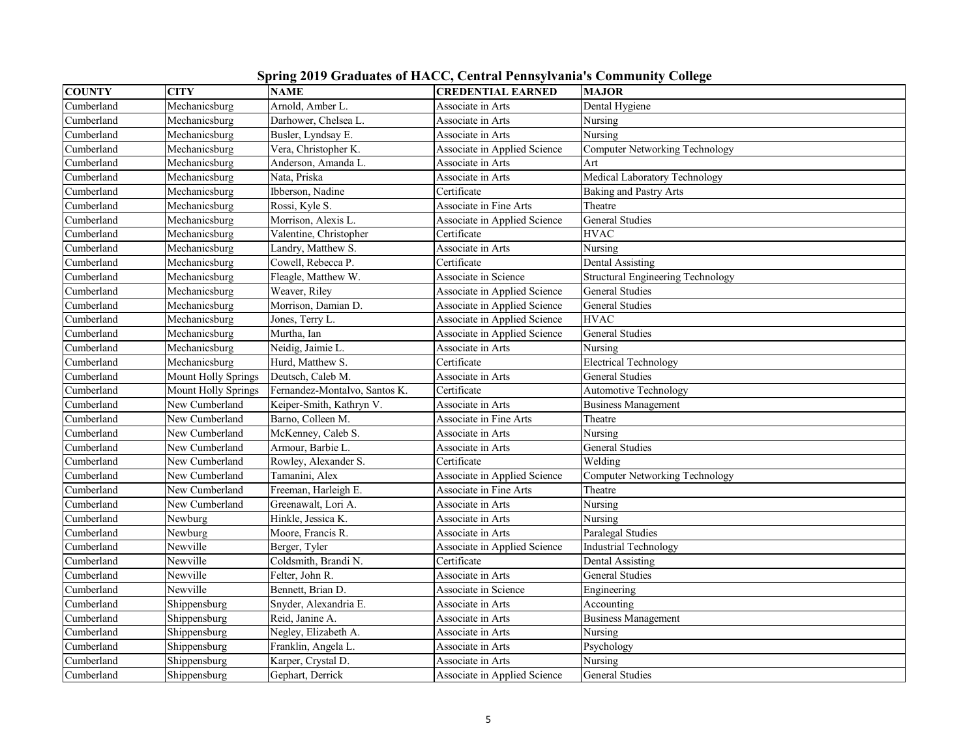| <b>COUNTY</b> | <b>CITY</b>                | <b>NAME</b>                   | <b>CREDENTIAL EARNED</b>     | <b>MAJOR</b>                             |
|---------------|----------------------------|-------------------------------|------------------------------|------------------------------------------|
| Cumberland    | Mechanicsburg              | Arnold, Amber L.              | Associate in Arts            | Dental Hygiene                           |
| Cumberland    | Mechanicsburg              | Darhower, Chelsea L.          | Associate in Arts            | Nursing                                  |
| Cumberland    | Mechanicsburg              | Busler, Lyndsay E.            | Associate in Arts            | Nursing                                  |
| Cumberland    | Mechanicsburg              | Vera, Christopher K.          | Associate in Applied Science | <b>Computer Networking Technology</b>    |
| Cumberland    | Mechanicsburg              | Anderson, Amanda L.           | Associate in Arts            | Art                                      |
| Cumberland    | Mechanicsburg              | Nata, Priska                  | Associate in Arts            | Medical Laboratory Technology            |
| Cumberland    | Mechanicsburg              | Ibberson, Nadine              | Certificate                  | Baking and Pastry Arts                   |
| Cumberland    | Mechanicsburg              | Rossi, Kyle S.                | Associate in Fine Arts       | Theatre                                  |
| Cumberland    | Mechanicsburg              | Morrison, Alexis L.           | Associate in Applied Science | <b>General Studies</b>                   |
| Cumberland    | Mechanicsburg              | Valentine, Christopher        | Certificate                  | <b>HVAC</b>                              |
| Cumberland    | Mechanicsburg              | Landry, Matthew S.            | Associate in Arts            | Nursing                                  |
| Cumberland    | Mechanicsburg              | Cowell, Rebecca P.            | Certificate                  | Dental Assisting                         |
| Cumberland    | Mechanicsburg              | Fleagle, Matthew W.           | Associate in Science         | <b>Structural Engineering Technology</b> |
| Cumberland    | Mechanicsburg              | Weaver, Riley                 | Associate in Applied Science | General Studies                          |
| Cumberland    | Mechanicsburg              | Morrison, Damian D.           | Associate in Applied Science | General Studies                          |
| Cumberland    | Mechanicsburg              | Jones, Terry L.               | Associate in Applied Science | <b>HVAC</b>                              |
| Cumberland    | Mechanicsburg              | Murtha, Ian                   | Associate in Applied Science | <b>General Studies</b>                   |
| Cumberland    | Mechanicsburg              | Neidig, Jaimie L.             | Associate in Arts            | Nursing                                  |
| Cumberland    | Mechanicsburg              | Hurd, Matthew S.              | Certificate                  | <b>Electrical Technology</b>             |
| Cumberland    | <b>Mount Holly Springs</b> | Deutsch, Caleb M.             | Associate in Arts            | <b>General Studies</b>                   |
| Cumberland    | <b>Mount Holly Springs</b> | Fernandez-Montalvo, Santos K. | Certificate                  | <b>Automotive Technology</b>             |
| Cumberland    | New Cumberland             | Keiper-Smith, Kathryn V.      | Associate in Arts            | <b>Business Management</b>               |
| Cumberland    | New Cumberland             | Barno, Colleen M.             | Associate in Fine Arts       | Theatre                                  |
| Cumberland    | New Cumberland             | McKenney, Caleb S.            | Associate in Arts            | Nursing                                  |
| Cumberland    | New Cumberland             | Armour, Barbie L.             | Associate in Arts            | General Studies                          |
| Cumberland    | New Cumberland             | Rowley, Alexander S.          | Certificate                  | Welding                                  |
| Cumberland    | New Cumberland             | Tamanini, Alex                | Associate in Applied Science | <b>Computer Networking Technology</b>    |
| Cumberland    | New Cumberland             | Freeman, Harleigh E.          | Associate in Fine Arts       | Theatre                                  |
| Cumberland    | New Cumberland             | Greenawalt, Lori A.           | Associate in Arts            | Nursing                                  |
| Cumberland    | Newburg                    | Hinkle, Jessica K.            | Associate in Arts            | Nursing                                  |
| Cumberland    | Newburg                    | Moore, Francis R.             | Associate in Arts            | Paralegal Studies                        |
| Cumberland    | Newville                   | Berger, Tyler                 | Associate in Applied Science | Industrial Technology                    |
| Cumberland    | Newville                   | Coldsmith, Brandi N.          | Certificate                  | Dental Assisting                         |
| Cumberland    | Newville                   | Felter, John R.               | Associate in Arts            | General Studies                          |
| Cumberland    | Newville                   | Bennett, Brian D.             | Associate in Science         | Engineering                              |
| Cumberland    | Shippensburg               | Snyder, Alexandria E.         | Associate in Arts            | Accounting                               |
| Cumberland    | Shippensburg               | Reid, Janine A.               | Associate in Arts            | <b>Business Management</b>               |
| Cumberland    | Shippensburg               | Negley, Elizabeth A.          | Associate in Arts            | Nursing                                  |
| Cumberland    | Shippensburg               | Franklin, Angela L.           | Associate in Arts            | Psychology                               |
| Cumberland    | Shippensburg               | Karper, Crystal D.            | Associate in Arts            | Nursing                                  |
| Cumberland    | Shippensburg               | Gephart, Derrick              | Associate in Applied Science | General Studies                          |

**Spring 2019 Graduates of HACC, Central Pennsylvania's Community College**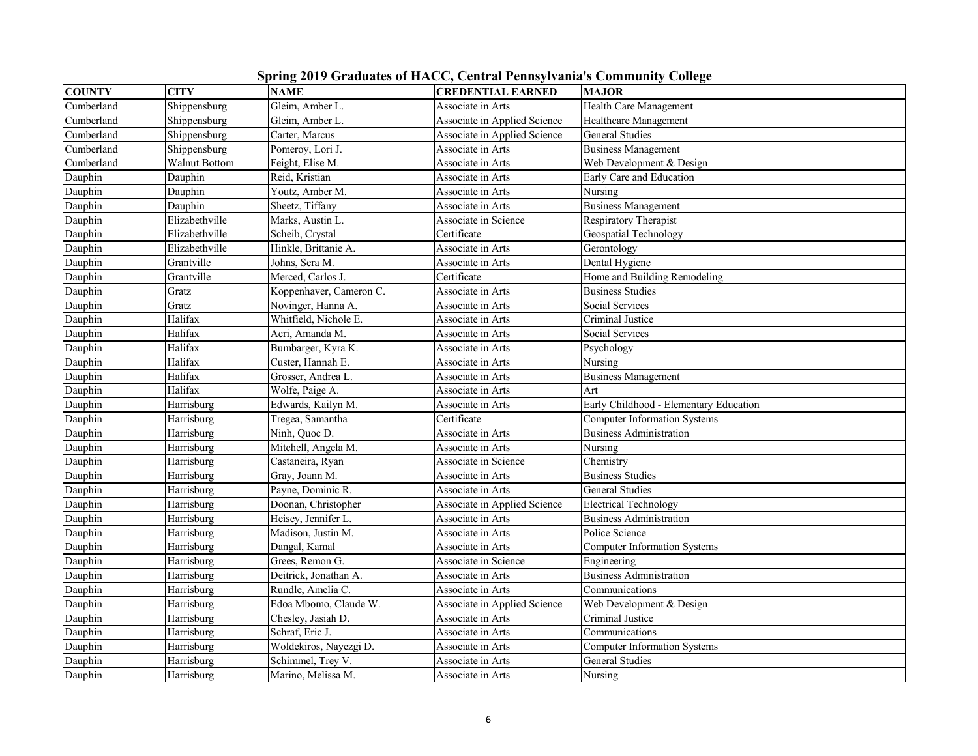|               |                      | ---- <del>.</del>       |                              |                                        |
|---------------|----------------------|-------------------------|------------------------------|----------------------------------------|
| <b>COUNTY</b> | <b>CITY</b>          | <b>NAME</b>             | <b>CREDENTIAL EARNED</b>     | <b>MAJOR</b>                           |
| Cumberland    | Shippensburg         | Gleim, Amber L.         | Associate in Arts            | Health Care Management                 |
| Cumberland    | Shippensburg         | Gleim, Amber L.         | Associate in Applied Science | Healthcare Management                  |
| Cumberland    | Shippensburg         | Carter, Marcus          | Associate in Applied Science | General Studies                        |
| Cumberland    | Shippensburg         | Pomeroy, Lori J.        | Associate in Arts            | <b>Business Management</b>             |
| Cumberland    | <b>Walnut Bottom</b> | Feight, Elise M.        | Associate in Arts            | Web Development & Design               |
| Dauphin       | Dauphin              | Reid, Kristian          | Associate in Arts            | Early Care and Education               |
| Dauphin       | Dauphin              | Youtz, Amber M.         | Associate in Arts            | Nursing                                |
| Dauphin       | Dauphin              | Sheetz, Tiffany         | Associate in Arts            | <b>Business Management</b>             |
| Dauphin       | Elizabethville       | Marks, Austin L.        | Associate in Science         | Respiratory Therapist                  |
| Dauphin       | Elizabethville       | Scheib, Crystal         | Certificate                  | Geospatial Technology                  |
| Dauphin       | Elizabethville       | Hinkle, Brittanie A.    | Associate in Arts            | Gerontology                            |
| Dauphin       | Grantville           | Johns, Sera M.          | Associate in Arts            | Dental Hygiene                         |
| Dauphin       | Grantville           | Merced, Carlos J.       | Certificate                  | Home and Building Remodeling           |
| Dauphin       | Gratz                | Koppenhaver, Cameron C. | Associate in Arts            | <b>Business Studies</b>                |
| Dauphin       | Gratz                | Novinger, Hanna A.      | Associate in Arts            | Social Services                        |
| Dauphin       | Halifax              | Whitfield, Nichole E.   | Associate in Arts            | Criminal Justice                       |
| Dauphin       | Halifax              | Acri, Amanda M.         | Associate in Arts            | Social Services                        |
| Dauphin       | Halifax              | Bumbarger, Kyra K.      | Associate in Arts            | Psychology                             |
| Dauphin       | Halifax              | Custer, Hannah E.       | Associate in Arts            | Nursing                                |
| Dauphin       | Halifax              | Grosser, Andrea L.      | Associate in Arts            | <b>Business Management</b>             |
| Dauphin       | Halifax              | Wolfe, Paige A.         | Associate in Arts            | Art                                    |
| Dauphin       | Harrisburg           | Edwards, Kailyn M.      | Associate in Arts            | Early Childhood - Elementary Education |
| Dauphin       | Harrisburg           | Tregea, Samantha        | Certificate                  | <b>Computer Information Systems</b>    |
| Dauphin       | Harrisburg           | Ninh, Quoc D.           | Associate in Arts            | <b>Business Administration</b>         |
| Dauphin       | Harrisburg           | Mitchell, Angela M.     | Associate in Arts            | Nursing                                |
| Dauphin       | Harrisburg           | Castaneira, Ryan        | Associate in Science         | Chemistry                              |
| Dauphin       | Harrisburg           | Gray, Joann M.          | Associate in Arts            | <b>Business Studies</b>                |
| Dauphin       | Harrisburg           | Payne, Dominic R.       | Associate in Arts            | <b>General Studies</b>                 |
| Dauphin       | Harrisburg           | Doonan, Christopher     | Associate in Applied Science | Electrical Technology                  |
| Dauphin       | Harrisburg           | Heisey, Jennifer L.     | Associate in Arts            | <b>Business Administration</b>         |
| Dauphin       | Harrisburg           | Madison, Justin M.      | Associate in Arts            | Police Science                         |
| Dauphin       | Harrisburg           | Dangal, Kamal           | Associate in Arts            | Computer Information Systems           |
| Dauphin       | Harrisburg           | Grees, Remon G.         | Associate in Science         | Engineering                            |
| Dauphin       | Harrisburg           | Deitrick, Jonathan A.   | Associate in Arts            | <b>Business Administration</b>         |
| Dauphin       | Harrisburg           | Rundle, Amelia C.       | Associate in Arts            | Communications                         |
| Dauphin       | Harrisburg           | Edoa Mbomo, Claude W.   | Associate in Applied Science | Web Development & Design               |
| Dauphin       | Harrisburg           | Chesley, Jasiah D.      | Associate in Arts            | Criminal Justice                       |
| Dauphin       | Harrisburg           | Schraf, Eric J.         | Associate in Arts            | Communications                         |
| Dauphin       | Harrisburg           | Woldekiros, Nayezgi D.  | Associate in Arts            | Computer Information Systems           |
| Dauphin       | Harrisburg           | Schimmel, Trey V.       | Associate in Arts            | <b>General Studies</b>                 |
| Dauphin       | Harrisburg           | Marino, Melissa M.      | Associate in Arts            | Nursing                                |

**Spring 2019 Graduates of HACC, Central Pennsylvania's Community College**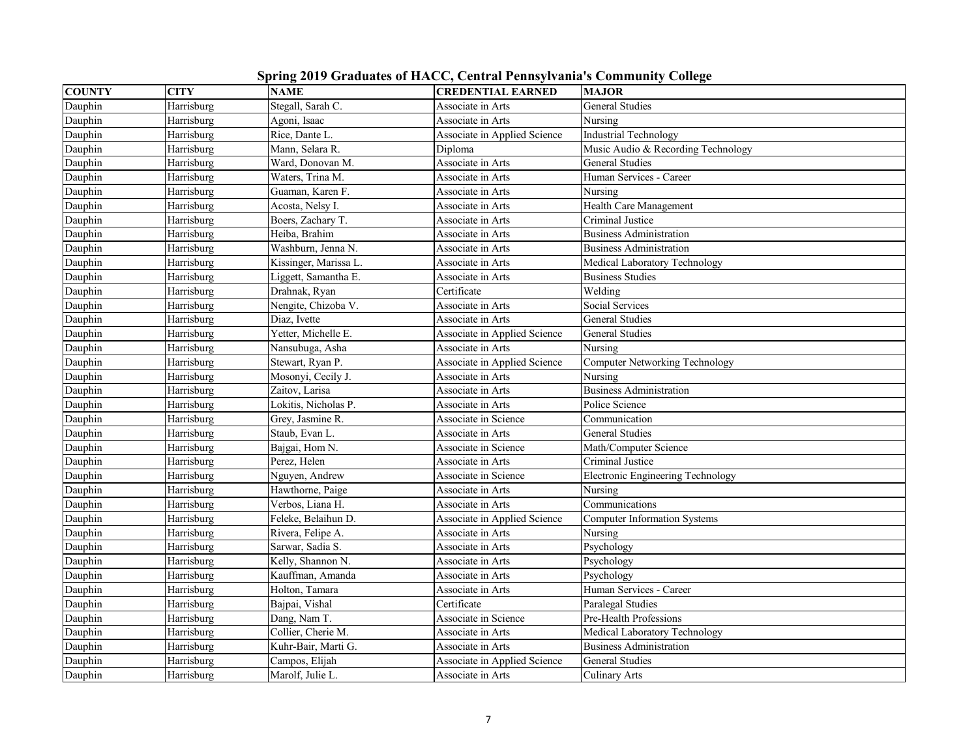|  |  |  | Spring 2019 Graduates of HACC, Central Pennsylvania's Community College |  |  |
|--|--|--|-------------------------------------------------------------------------|--|--|
|  |  |  |                                                                         |  |  |

| <b>COUNTY</b> | <b>CITY</b> | <b>NAME</b>           | <b>CREDENTIAL EARNED</b>     | <b>MAJOR</b>                          |
|---------------|-------------|-----------------------|------------------------------|---------------------------------------|
| Dauphin       | Harrisburg  | Stegall, Sarah C.     | Associate in Arts            | <b>General Studies</b>                |
| Dauphin       | Harrisburg  | Agoni, Isaac          | Associate in Arts            | Nursing                               |
| Dauphin       | Harrisburg  | Rice, Dante L.        | Associate in Applied Science | <b>Industrial Technology</b>          |
| Dauphin       | Harrisburg  | Mann, Selara R.       | Diploma                      | Music Audio & Recording Technology    |
| Dauphin       | Harrisburg  | Ward, Donovan M.      | Associate in Arts            | <b>General Studies</b>                |
| Dauphin       | Harrisburg  | Waters, Trina M.      | Associate in Arts            | Human Services - Career               |
| Dauphin       | Harrisburg  | Guaman, Karen F.      | Associate in Arts            | Nursing                               |
| Dauphin       | Harrisburg  | Acosta, Nelsy I.      | Associate in Arts            | Health Care Management                |
| Dauphin       | Harrisburg  | Boers, Zachary T.     | Associate in Arts            | Criminal Justice                      |
| Dauphin       | Harrisburg  | Heiba. Brahim         | Associate in Arts            | <b>Business Administration</b>        |
| Dauphin       | Harrisburg  | Washburn, Jenna N.    | Associate in Arts            | <b>Business Administration</b>        |
| Dauphin       | Harrisburg  | Kissinger, Marissa L. | Associate in Arts            | Medical Laboratory Technology         |
| Dauphin       | Harrisburg  | Liggett, Samantha E.  | Associate in Arts            | <b>Business Studies</b>               |
| Dauphin       | Harrisburg  | Drahnak, Ryan         | Certificate                  | Welding                               |
| Dauphin       | Harrisburg  | Nengite, Chizoba V.   | Associate in Arts            | <b>Social Services</b>                |
| Dauphin       | Harrisburg  | Diaz, Ivette          | Associate in Arts            | <b>General Studies</b>                |
| Dauphin       | Harrisburg  | Yetter, Michelle E.   | Associate in Applied Science | <b>General Studies</b>                |
| Dauphin       | Harrisburg  | Nansubuga, Asha       | Associate in Arts            | Nursing                               |
| Dauphin       | Harrisburg  | Stewart, Ryan P.      | Associate in Applied Science | <b>Computer Networking Technology</b> |
| Dauphin       | Harrisburg  | Mosonyi, Cecily J.    | Associate in Arts            | Nursing                               |
| Dauphin       | Harrisburg  | Zaitov, Larisa        | Associate in Arts            | <b>Business Administration</b>        |
| Dauphin       | Harrisburg  | Lokitis, Nicholas P.  | Associate in Arts            | Police Science                        |
| Dauphin       | Harrisburg  | Grey, Jasmine R.      | Associate in Science         | Communication                         |
| Dauphin       | Harrisburg  | Staub, Evan L.        | Associate in Arts            | <b>General Studies</b>                |
| Dauphin       | Harrisburg  | Bajgai, Hom N.        | Associate in Science         | Math/Computer Science                 |
| Dauphin       | Harrisburg  | Perez, Helen          | Associate in Arts            | Criminal Justice                      |
| Dauphin       | Harrisburg  | Nguyen, Andrew        | Associate in Science         | Electronic Engineering Technology     |
| Dauphin       | Harrisburg  | Hawthorne, Paige      | Associate in Arts            | Nursing                               |
| Dauphin       | Harrisburg  | Verbos, Liana H.      | Associate in Arts            | Communications                        |
| Dauphin       | Harrisburg  | Feleke, Belaihun D.   | Associate in Applied Science | <b>Computer Information Systems</b>   |
| Dauphin       | Harrisburg  | Rivera, Felipe A.     | Associate in Arts            | Nursing                               |
| Dauphin       | Harrisburg  | Sarwar, Sadia S.      | Associate in Arts            | Psychology                            |
| Dauphin       | Harrisburg  | Kelly, Shannon N.     | Associate in Arts            | Psychology                            |
| Dauphin       | Harrisburg  | Kauffman, Amanda      | Associate in Arts            | Psychology                            |
| Dauphin       | Harrisburg  | Holton, Tamara        | Associate in Arts            | Human Services - Career               |
| Dauphin       | Harrisburg  | Bajpai, Vishal        | Certificate                  | Paralegal Studies                     |
| Dauphin       | Harrisburg  | Dang, Nam T.          | Associate in Science         | Pre-Health Professions                |
| Dauphin       | Harrisburg  | Collier, Cherie M.    | Associate in Arts            | Medical Laboratory Technology         |
| Dauphin       | Harrisburg  | Kuhr-Bair, Marti G.   | Associate in Arts            | <b>Business Administration</b>        |
| Dauphin       | Harrisburg  | Campos, Elijah        | Associate in Applied Science | <b>General Studies</b>                |
| Dauphin       | Harrisburg  | Marolf, Julie L.      | Associate in Arts            | <b>Culinary Arts</b>                  |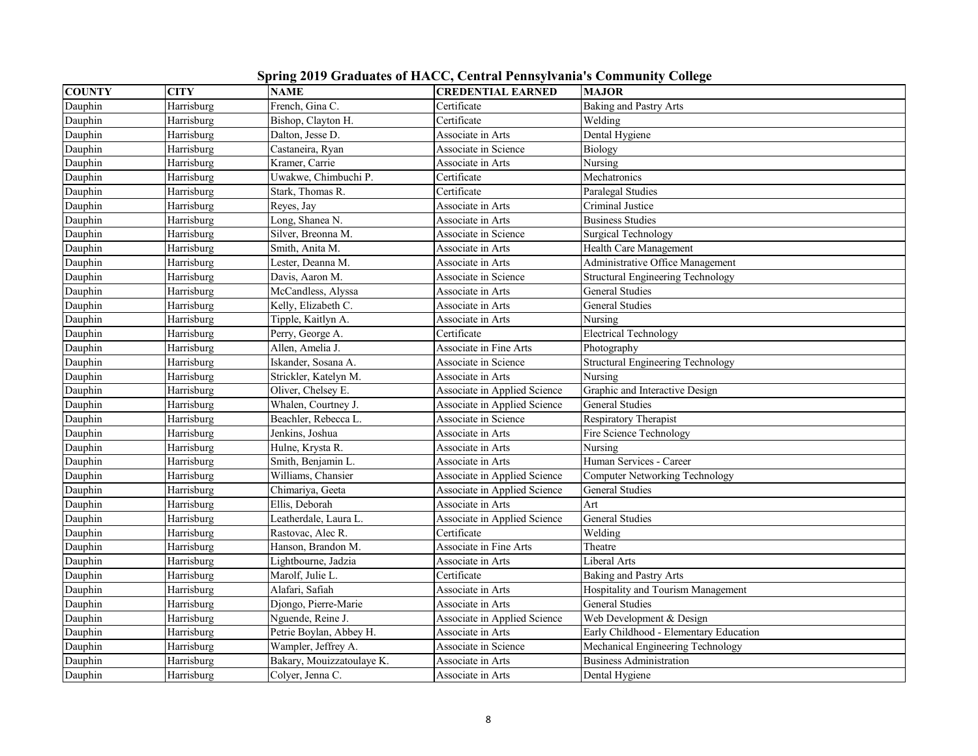|  |  |  |  | Spring 2019 Graduates of HACC, Central Pennsylvania's Community College |  |
|--|--|--|--|-------------------------------------------------------------------------|--|
|  |  |  |  |                                                                         |  |

| <b>COUNTY</b> | <b>CITY</b> | <b>NAME</b>               | <b>CREDENTIAL EARNED</b>     | <b>MAJOR</b>                             |
|---------------|-------------|---------------------------|------------------------------|------------------------------------------|
| Dauphin       | Harrisburg  | French, Gina C.           | Certificate                  | <b>Baking and Pastry Arts</b>            |
| Dauphin       | Harrisburg  | Bishop, Clayton H.        | Certificate                  | Welding                                  |
| Dauphin       | Harrisburg  | Dalton, Jesse D.          | Associate in Arts            | Dental Hygiene                           |
| Dauphin       | Harrisburg  | Castaneira, Ryan          | Associate in Science         | Biology                                  |
| Dauphin       | Harrisburg  | Kramer, Carrie            | Associate in Arts            | Nursing                                  |
| Dauphin       | Harrisburg  | Uwakwe, Chimbuchi P.      | Certificate                  | Mechatronics                             |
| Dauphin       | Harrisburg  | Stark, Thomas R.          | Certificate                  | Paralegal Studies                        |
| Dauphin       | Harrisburg  | Reyes, Jay                | Associate in Arts            | Criminal Justice                         |
| Dauphin       | Harrisburg  | Long, Shanea N.           | Associate in Arts            | <b>Business Studies</b>                  |
| Dauphin       | Harrisburg  | Silver, Breonna M.        | Associate in Science         | Surgical Technology                      |
| Dauphin       | Harrisburg  | Smith, Anita M.           | Associate in Arts            | Health Care Management                   |
| Dauphin       | Harrisburg  | Lester, Deanna M.         | Associate in Arts            | Administrative Office Management         |
| Dauphin       | Harrisburg  | Davis, Aaron M.           | Associate in Science         | Structural Engineering Technology        |
| Dauphin       | Harrisburg  | McCandless, Alyssa        | Associate in Arts            | General Studies                          |
| Dauphin       | Harrisburg  | Kelly, Elizabeth C.       | Associate in Arts            | General Studies                          |
| Dauphin       | Harrisburg  | Tipple, Kaitlyn A.        | Associate in Arts            | Nursing                                  |
| Dauphin       | Harrisburg  | Perry, George A.          | Certificate                  | <b>Electrical Technology</b>             |
| Dauphin       | Harrisburg  | Allen, Amelia J.          | Associate in Fine Arts       | Photography                              |
| Dauphin       | Harrisburg  | Iskander, Sosana A.       | Associate in Science         | <b>Structural Engineering Technology</b> |
| Dauphin       | Harrisburg  | Strickler, Katelyn M.     | Associate in Arts            | Nursing                                  |
| Dauphin       | Harrisburg  | Oliver, Chelsey E.        | Associate in Applied Science | Graphic and Interactive Design           |
| Dauphin       | Harrisburg  | Whalen, Courtney J.       | Associate in Applied Science | General Studies                          |
| Dauphin       | Harrisburg  | Beachler, Rebecca L.      | Associate in Science         | Respiratory Therapist                    |
| Dauphin       | Harrisburg  | Jenkins, Joshua           | Associate in Arts            | Fire Science Technology                  |
| Dauphin       | Harrisburg  | Hulne, Krysta R.          | Associate in Arts            | Nursing                                  |
| Dauphin       | Harrisburg  | Smith, Benjamin L.        | Associate in Arts            | Human Services - Career                  |
| Dauphin       | Harrisburg  | Williams, Chansier        | Associate in Applied Science | <b>Computer Networking Technology</b>    |
| Dauphin       | Harrisburg  | Chimariya, Geeta          | Associate in Applied Science | General Studies                          |
| Dauphin       | Harrisburg  | Ellis, Deborah            | Associate in Arts            | Art                                      |
| Dauphin       | Harrisburg  | Leatherdale, Laura L.     | Associate in Applied Science | <b>General Studies</b>                   |
| Dauphin       | Harrisburg  | Rastovac, Alec R.         | Certificate                  | Welding                                  |
| Dauphin       | Harrisburg  | Hanson. Brandon M.        | Associate in Fine Arts       | Theatre                                  |
| Dauphin       | Harrisburg  | Lightbourne, Jadzia       | Associate in Arts            | Liberal Arts                             |
| Dauphin       | Harrisburg  | Marolf, Julie L.          | Certificate                  | <b>Baking and Pastry Arts</b>            |
| Dauphin       | Harrisburg  | Alafari, Safiah           | Associate in Arts            | Hospitality and Tourism Management       |
| Dauphin       | Harrisburg  | Djongo, Pierre-Marie      | Associate in Arts            | General Studies                          |
| Dauphin       | Harrisburg  | Nguende, Reine J.         | Associate in Applied Science | Web Development & Design                 |
| Dauphin       | Harrisburg  | Petrie Boylan, Abbey H.   | Associate in Arts            | Early Childhood - Elementary Education   |
| Dauphin       | Harrisburg  | Wampler, Jeffrey A.       | Associate in Science         | Mechanical Engineering Technology        |
| Dauphin       | Harrisburg  | Bakary, Mouizzatoulaye K. | Associate in Arts            | <b>Business Administration</b>           |
| Dauphin       | Harrisburg  | Colyer, Jenna C.          | Associate in Arts            | Dental Hygiene                           |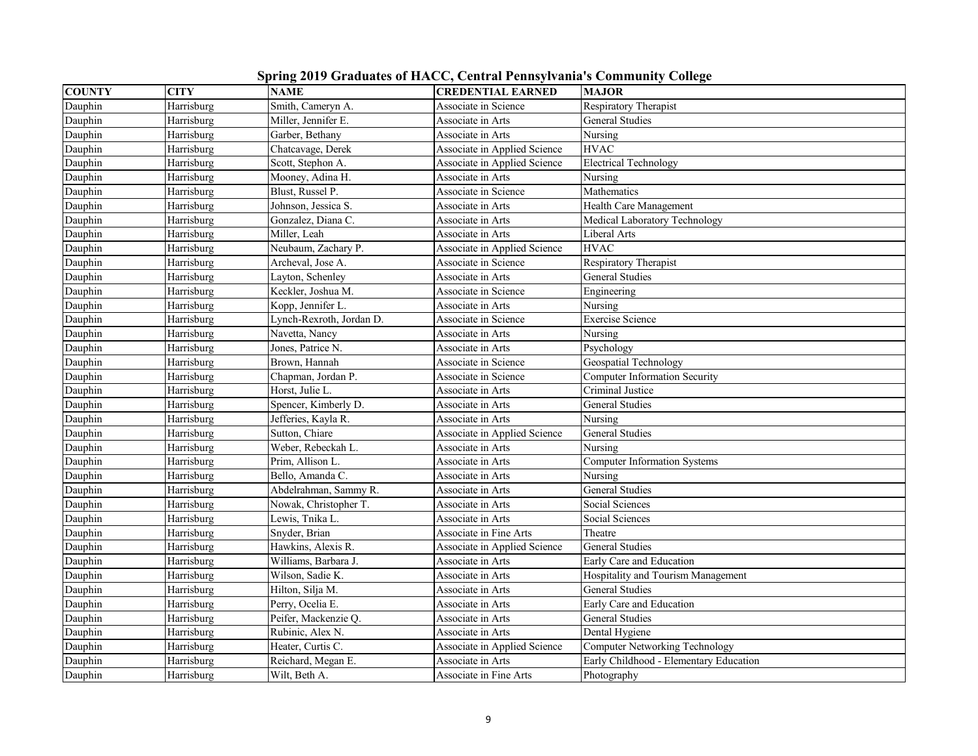|  |  |  | Spring 2019 Graduates of HACC, Central Pennsylvania's Community College |  |  |
|--|--|--|-------------------------------------------------------------------------|--|--|
|  |  |  |                                                                         |  |  |

| <b>COUNTY</b> | <b>CITY</b> | <b>NAME</b>              | <b>CREDENTIAL EARNED</b>     | <b>MAJOR</b>                           |
|---------------|-------------|--------------------------|------------------------------|----------------------------------------|
| Dauphin       | Harrisburg  | Smith, Cameryn A.        | Associate in Science         | Respiratory Therapist                  |
| Dauphin       | Harrisburg  | Miller. Jennifer E.      | Associate in Arts            | <b>General Studies</b>                 |
| Dauphin       | Harrisburg  | Garber, Bethany          | Associate in Arts            | Nursing                                |
| Dauphin       | Harrisburg  | Chatcavage, Derek        | Associate in Applied Science | <b>HVAC</b>                            |
| Dauphin       | Harrisburg  | Scott, Stephon A.        | Associate in Applied Science | <b>Electrical Technology</b>           |
| Dauphin       | Harrisburg  | Mooney, Adina H.         | Associate in Arts            | Nursing                                |
| Dauphin       | Harrisburg  | Blust, Russel P.         | Associate in Science         | Mathematics                            |
| Dauphin       | Harrisburg  | Johnson, Jessica S.      | Associate in Arts            | Health Care Management                 |
| Dauphin       | Harrisburg  | Gonzalez, Diana C.       | Associate in Arts            | Medical Laboratory Technology          |
| Dauphin       | Harrisburg  | Miller, Leah             | Associate in Arts            | Liberal Arts                           |
| Dauphin       | Harrisburg  | Neubaum, Zachary P.      | Associate in Applied Science | <b>HVAC</b>                            |
| Dauphin       | Harrisburg  | Archeval, Jose A.        | Associate in Science         | Respiratory Therapist                  |
| Dauphin       | Harrisburg  | Layton, Schenley         | Associate in Arts            | General Studies                        |
| Dauphin       | Harrisburg  | Keckler, Joshua M.       | Associate in Science         | Engineering                            |
| Dauphin       | Harrisburg  | Kopp, Jennifer L.        | Associate in Arts            | Nursing                                |
| Dauphin       | Harrisburg  | Lynch-Rexroth, Jordan D. | Associate in Science         | <b>Exercise Science</b>                |
| Dauphin       | Harrisburg  | Navetta, Nancy           | Associate in Arts            | Nursing                                |
| Dauphin       | Harrisburg  | Jones, Patrice N.        | Associate in Arts            | Psychology                             |
| Dauphin       | Harrisburg  | Brown, Hannah            | Associate in Science         | Geospatial Technology                  |
| Dauphin       | Harrisburg  | Chapman, Jordan P.       | Associate in Science         | <b>Computer Information Security</b>   |
| Dauphin       | Harrisburg  | Horst, Julie L.          | Associate in Arts            | Criminal Justice                       |
| Dauphin       | Harrisburg  | Spencer, Kimberly D.     | Associate in Arts            | <b>General Studies</b>                 |
| Dauphin       | Harrisburg  | Jefferies, Kayla R.      | Associate in Arts            | Nursing                                |
| Dauphin       | Harrisburg  | Sutton, Chiare           | Associate in Applied Science | <b>General Studies</b>                 |
| Dauphin       | Harrisburg  | Weber, Rebeckah L.       | Associate in Arts            | Nursing                                |
| Dauphin       | Harrisburg  | Prim, Allison L.         | Associate in Arts            | <b>Computer Information Systems</b>    |
| Dauphin       | Harrisburg  | Bello, Amanda C.         | Associate in Arts            | Nursing                                |
| Dauphin       | Harrisburg  | Abdelrahman, Sammy R.    | Associate in Arts            | <b>General Studies</b>                 |
| Dauphin       | Harrisburg  | Nowak, Christopher T.    | Associate in Arts            | Social Sciences                        |
| Dauphin       | Harrisburg  | Lewis, Tnika L.          | Associate in Arts            | Social Sciences                        |
| Dauphin       | Harrisburg  | Snyder, Brian            | Associate in Fine Arts       | Theatre                                |
| Dauphin       | Harrisburg  | Hawkins, Alexis R.       | Associate in Applied Science | <b>General Studies</b>                 |
| Dauphin       | Harrisburg  | Williams, Barbara J.     | Associate in Arts            | Early Care and Education               |
| Dauphin       | Harrisburg  | Wilson, Sadie K.         | Associate in Arts            | Hospitality and Tourism Management     |
| Dauphin       | Harrisburg  | Hilton, Silja M.         | Associate in Arts            | <b>General Studies</b>                 |
| Dauphin       | Harrisburg  | Perry, Ocelia E.         | Associate in Arts            | Early Care and Education               |
| Dauphin       | Harrisburg  | Peifer, Mackenzie Q.     | Associate in Arts            | <b>General Studies</b>                 |
| Dauphin       | Harrisburg  | Rubinic, Alex N.         | Associate in Arts            | Dental Hygiene                         |
| Dauphin       | Harrisburg  | Heater, Curtis C.        | Associate in Applied Science | <b>Computer Networking Technology</b>  |
| Dauphin       | Harrisburg  | Reichard, Megan E.       | Associate in Arts            | Early Childhood - Elementary Education |
| Dauphin       | Harrisburg  | Wilt, Beth A.            | Associate in Fine Arts       | Photography                            |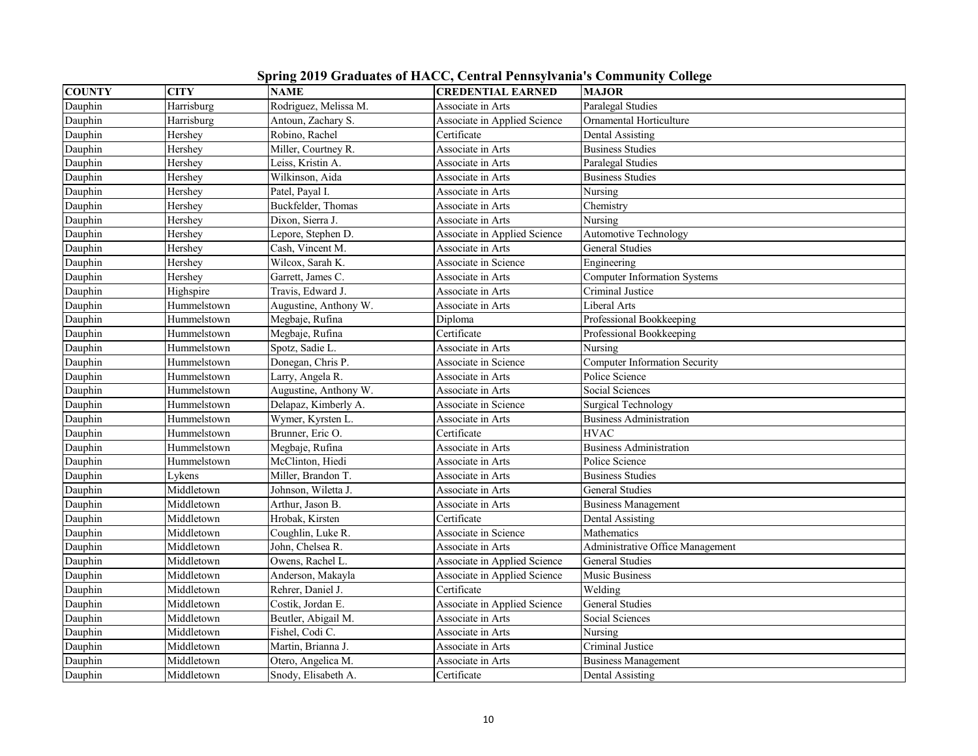|               |             |                       | spring 2015 Staduards of fire of central remisjivality's community conege |                                      |
|---------------|-------------|-----------------------|---------------------------------------------------------------------------|--------------------------------------|
| <b>COUNTY</b> | <b>CITY</b> | <b>NAME</b>           | <b>CREDENTIAL EARNED</b>                                                  | <b>MAJOR</b>                         |
| Dauphin       | Harrisburg  | Rodriguez, Melissa M. | Associate in Arts                                                         | Paralegal Studies                    |
| Dauphin       | Harrisburg  | Antoun, Zachary S.    | Associate in Applied Science                                              | Ornamental Horticulture              |
| Dauphin       | Hershey     | Robino, Rachel        | Certificate                                                               | Dental Assisting                     |
| Dauphin       | Hershey     | Miller, Courtney R.   | Associate in Arts                                                         | <b>Business Studies</b>              |
| Dauphin       | Hershey     | Leiss, Kristin A.     | Associate in Arts                                                         | Paralegal Studies                    |
| Dauphin       | Hershey     | Wilkinson, Aida       | Associate in Arts                                                         | <b>Business Studies</b>              |
| Dauphin       | Hershey     | Patel, Payal I.       | Associate in Arts                                                         | Nursing                              |
| Dauphin       | Hershey     | Buckfelder, Thomas    | Associate in Arts                                                         | Chemistry                            |
| Dauphin       | Hershey     | Dixon, Sierra J.      | Associate in Arts                                                         | Nursing                              |
| Dauphin       | Hershey     | Lepore, Stephen D.    | Associate in Applied Science                                              | <b>Automotive Technology</b>         |
| Dauphin       | Hershey     | Cash, Vincent M.      | Associate in Arts                                                         | <b>General Studies</b>               |
| Dauphin       | Hershey     | Wilcox, Sarah K.      | Associate in Science                                                      | Engineering                          |
| Dauphin       | Hershey     | Garrett, James C.     | Associate in Arts                                                         | <b>Computer Information Systems</b>  |
| Dauphin       | Highspire   | Travis, Edward J.     | Associate in Arts                                                         | Criminal Justice                     |
| Dauphin       | Hummelstown | Augustine, Anthony W. | Associate in Arts                                                         | Liberal Arts                         |
| Dauphin       | Hummelstown | Megbaje, Rufina       | Diploma                                                                   | Professional Bookkeeping             |
| Dauphin       | Hummelstown | Megbaje, Rufina       | Certificate                                                               | Professional Bookkeeping             |
| Dauphin       | Hummelstown | Spotz, Sadie L.       | Associate in Arts                                                         | Nursing                              |
| Dauphin       | Hummelstown | Donegan, Chris P.     | Associate in Science                                                      | <b>Computer Information Security</b> |
| Dauphin       | Hummelstown | Larry, Angela R.      | Associate in Arts                                                         | Police Science                       |
| Dauphin       | Hummelstown | Augustine, Anthony W. | Associate in Arts                                                         | Social Sciences                      |
| Dauphin       | Hummelstown | Delapaz, Kimberly A.  | Associate in Science                                                      | Surgical Technology                  |
| Dauphin       | Hummelstown | Wymer, Kyrsten L.     | Associate in Arts                                                         | <b>Business Administration</b>       |
| Dauphin       | Hummelstown | Brunner, Eric O.      | Certificate                                                               | <b>HVAC</b>                          |
| Dauphin       | Hummelstown | Megbaje, Rufina       | Associate in Arts                                                         | <b>Business Administration</b>       |
| Dauphin       | Hummelstown | McClinton, Hiedi      | Associate in Arts                                                         | Police Science                       |
| Dauphin       | Lykens      | Miller, Brandon T.    | Associate in Arts                                                         | <b>Business Studies</b>              |
| Dauphin       | Middletown  | Johnson, Wiletta J.   | Associate in Arts                                                         | General Studies                      |
| Dauphin       | Middletown  | Arthur, Jason B.      | Associate in Arts                                                         | <b>Business Management</b>           |
| Dauphin       | Middletown  | Hrobak, Kirsten       | Certificate                                                               | Dental Assisting                     |
| Dauphin       | Middletown  | Coughlin, Luke R.     | Associate in Science                                                      | Mathematics                          |
| Dauphin       | Middletown  | John, Chelsea R.      | Associate in Arts                                                         | Administrative Office Management     |
| Dauphin       | Middletown  | Owens, Rachel L.      | Associate in Applied Science                                              | <b>General Studies</b>               |
| Dauphin       | Middletown  | Anderson, Makayla     | Associate in Applied Science                                              | Music Business                       |
| Dauphin       | Middletown  | Rehrer, Daniel J.     | Certificate                                                               | Welding                              |
| Dauphin       | Middletown  | Costik, Jordan E.     | Associate in Applied Science                                              | <b>General Studies</b>               |
| Dauphin       | Middletown  | Beutler, Abigail M.   | Associate in Arts                                                         | Social Sciences                      |
| Dauphin       | Middletown  | Fishel, Codi C.       | Associate in Arts                                                         | Nursing                              |
| Dauphin       | Middletown  | Martin, Brianna J.    | Associate in Arts                                                         | Criminal Justice                     |
| Dauphin       | Middletown  | Otero, Angelica M.    | Associate in Arts                                                         | <b>Business Management</b>           |
| Dauphin       | Middletown  | Snody, Elisabeth A.   | Certificate                                                               | Dental Assisting                     |

**Spring 2019 Graduates of HACC, Central Pennsylvania's Community College**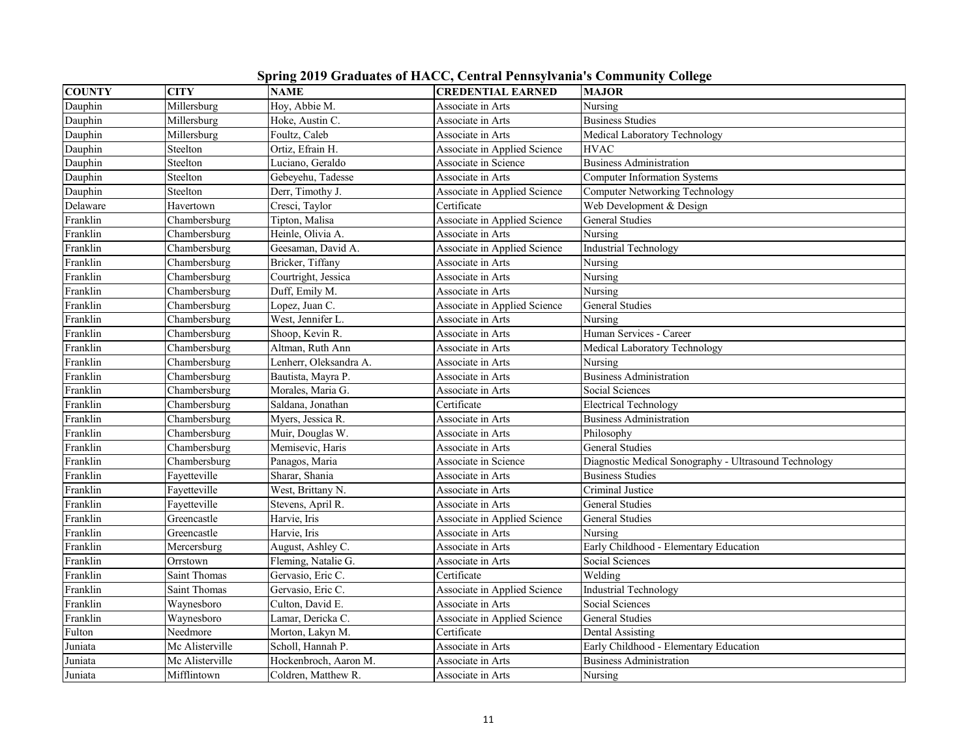|               |                 |                        |                              | $\overline{\phantom{a}}$                              |
|---------------|-----------------|------------------------|------------------------------|-------------------------------------------------------|
| <b>COUNTY</b> | <b>CITY</b>     | NAME                   | <b>CREDENTIAL EARNED</b>     | <b>MAJOR</b>                                          |
| Dauphin       | Millersburg     | Hoy, Abbie M.          | Associate in Arts            | Nursing                                               |
| Dauphin       | Millersburg     | Hoke, Austin C.        | Associate in Arts            | <b>Business Studies</b>                               |
| Dauphin       | Millersburg     | Foultz, Caleb          | Associate in Arts            | Medical Laboratory Technology                         |
| Dauphin       | Steelton        | Ortiz, Efrain H.       | Associate in Applied Science | HVAC                                                  |
| Dauphin       | Steelton        | Luciano, Geraldo       | Associate in Science         | <b>Business Administration</b>                        |
| Dauphin       | Steelton        | Gebeyehu, Tadesse      | Associate in Arts            | <b>Computer Information Systems</b>                   |
| Dauphin       | Steelton        | Derr, Timothy J.       | Associate in Applied Science | <b>Computer Networking Technology</b>                 |
| Delaware      | Havertown       | Cresci, Taylor         | Certificate                  | Web Development & Design                              |
| Franklin      | Chambersburg    | Tipton, Malisa         | Associate in Applied Science | <b>General Studies</b>                                |
| Franklin      | Chambersburg    | Heinle, Olivia A.      | Associate in Arts            | Nursing                                               |
| Franklin      | Chambersburg    | Geesaman, David A.     | Associate in Applied Science | <b>Industrial Technology</b>                          |
| Franklin      | Chambersburg    | Bricker, Tiffany       | Associate in Arts            | Nursing                                               |
| Franklin      | Chambersburg    | Courtright, Jessica    | Associate in Arts            | Nursing                                               |
| Franklin      | Chambersburg    | Duff, Emily M.         | Associate in Arts            | Nursing                                               |
| Franklin      | Chambersburg    | Lopez, Juan C.         | Associate in Applied Science | <b>General Studies</b>                                |
| Franklin      | Chambersburg    | West, Jennifer L.      | Associate in Arts            | Nursing                                               |
| Franklin      | Chambersburg    | Shoop, Kevin R.        | Associate in Arts            | Human Services - Career                               |
| Franklin      | Chambersburg    | Altman, Ruth Ann       | Associate in Arts            | Medical Laboratory Technology                         |
| Franklin      | Chambersburg    | Lenherr, Oleksandra A. | Associate in Arts            | Nursing                                               |
| Franklin      | Chambersburg    | Bautista, Mayra P.     | Associate in Arts            | <b>Business Administration</b>                        |
| Franklin      | Chambersburg    | Morales, Maria G.      | Associate in Arts            | Social Sciences                                       |
| Franklin      | Chambersburg    | Saldana, Jonathan      | Certificate                  | <b>Electrical Technology</b>                          |
| Franklin      | Chambersburg    | Myers, Jessica R.      | Associate in Arts            | Business Administration                               |
| Franklin      | Chambersburg    | Muir, Douglas W.       | Associate in Arts            | Philosophy                                            |
| Franklin      | Chambersburg    | Memisevic, Haris       | Associate in Arts            | General Studies                                       |
| Franklin      | Chambersburg    | Panagos, Maria         | Associate in Science         | Diagnostic Medical Sonography - Ultrasound Technology |
| Franklin      | Fayetteville    | Sharar, Shania         | Associate in Arts            | Business Studies                                      |
| Franklin      | Fayetteville    | West, Brittany N.      | Associate in Arts            | Criminal Justice                                      |
| Franklin      | Fayetteville    | Stevens, April R.      | Associate in Arts            | General Studies                                       |
| Franklin      | Greencastle     | Harvie, Iris           | Associate in Applied Science | General Studies                                       |
| Franklin      | Greencastle     | Harvie, Iris           | Associate in Arts            | Nursing                                               |
| Franklin      | Mercersburg     | August, Ashley C.      | Associate in Arts            | Early Childhood - Elementary Education                |
| Franklin      | Orrstown        | Fleming, Natalie G.    | Associate in Arts            | Social Sciences                                       |
| Franklin      | Saint Thomas    | Gervasio, Eric C.      | Certificate                  | Welding                                               |
| Franklin      | Saint Thomas    | Gervasio, Eric C.      | Associate in Applied Science | <b>Industrial Technology</b>                          |
| Franklin      | Waynesboro      | Culton, David E.       | Associate in Arts            | Social Sciences                                       |
| Franklin      | Waynesboro      | Lamar, Dericka C.      | Associate in Applied Science | General Studies                                       |
| Fulton        | Needmore        | Morton, Lakyn M.       | Certificate                  | Dental Assisting                                      |
| Juniata       | Mc Alisterville | Scholl, Hannah P.      | Associate in Arts            | Early Childhood - Elementary Education                |
| Juniata       | Mc Alisterville | Hockenbroch, Aaron M.  | Associate in Arts            | <b>Business Administration</b>                        |
| Juniata       | Mifflintown     | Coldren, Matthew R.    | Associate in Arts            | Nursing                                               |

**Spring 2019 Graduates of HACC, Central Pennsylvania's Community College**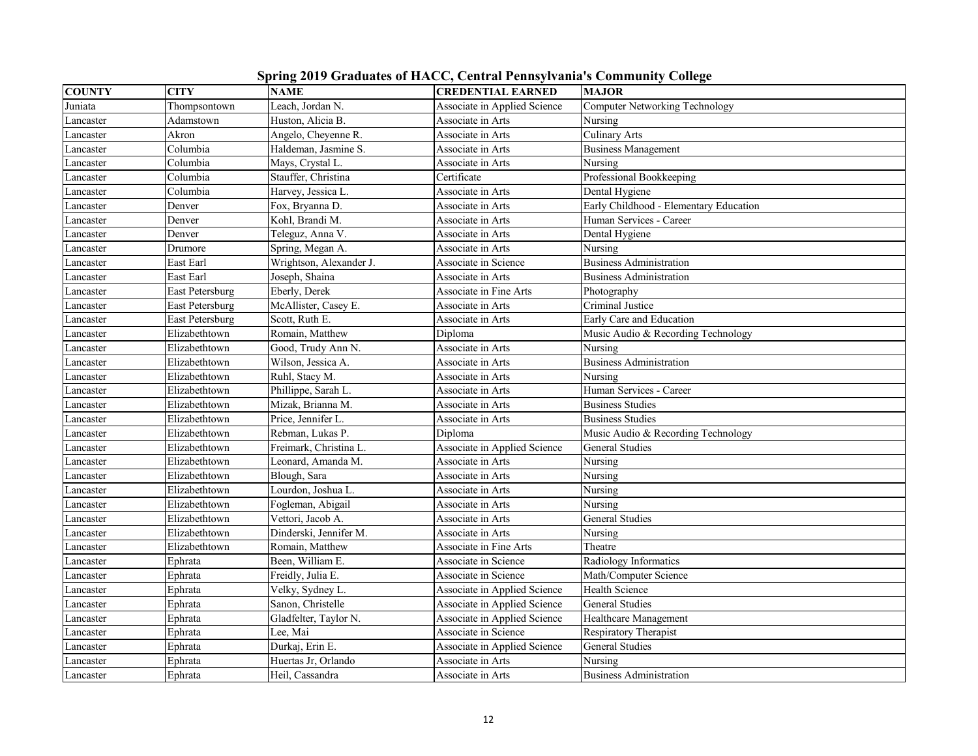|  |  |  |  | Spring 2019 Graduates of HACC, Central Pennsylvania's Community College |  |
|--|--|--|--|-------------------------------------------------------------------------|--|
|  |  |  |  |                                                                         |  |

| <b>COUNTY</b> | <b>CITY</b>     | <b>NAME</b>             | <b>CREDENTIAL EARNED</b>     | <b>MAJOR</b>                           |
|---------------|-----------------|-------------------------|------------------------------|----------------------------------------|
| Juniata       | Thompsontown    | Leach. Jordan N.        | Associate in Applied Science | <b>Computer Networking Technology</b>  |
| Lancaster     | Adamstown       | Huston, Alicia B.       | Associate in Arts            | Nursing                                |
| Lancaster     | Akron           | Angelo, Cheyenne R.     | Associate in Arts            | <b>Culinary Arts</b>                   |
| Lancaster     | Columbia        | Haldeman, Jasmine S.    | Associate in Arts            | <b>Business Management</b>             |
| Lancaster     | Columbia        | Mays, Crystal L.        | Associate in Arts            | Nursing                                |
| Lancaster     | Columbia        | Stauffer, Christina     | Certificate                  | Professional Bookkeeping               |
| Lancaster     | Columbia        | Harvey, Jessica L.      | Associate in Arts            | Dental Hygiene                         |
| Lancaster     | Denver          | Fox, Bryanna D.         | Associate in Arts            | Early Childhood - Elementary Education |
| Lancaster     | Denver          | Kohl, Brandi M.         | Associate in Arts            | Human Services - Career                |
| Lancaster     | Denver          | Teleguz, Anna V.        | Associate in Arts            | Dental Hygiene                         |
| Lancaster     | Drumore         | Spring, Megan A.        | Associate in Arts            | Nursing                                |
| Lancaster     | East Earl       | Wrightson, Alexander J. | Associate in Science         | <b>Business Administration</b>         |
| Lancaster     | East Earl       | Joseph, Shaina          | Associate in Arts            | <b>Business Administration</b>         |
| Lancaster     | East Petersburg | Eberly, Derek           | Associate in Fine Arts       | Photography                            |
| Lancaster     | East Petersburg | McAllister, Casey E.    | Associate in Arts            | Criminal Justice                       |
| Lancaster     | East Petersburg | Scott, Ruth E.          | Associate in Arts            | Early Care and Education               |
| Lancaster     | Elizabethtown   | Romain, Matthew         | Diploma                      | Music Audio & Recording Technology     |
| Lancaster     | Elizabethtown   | Good, Trudy Ann N.      | Associate in Arts            | Nursing                                |
| Lancaster     | Elizabethtown   | Wilson, Jessica A.      | Associate in Arts            | <b>Business Administration</b>         |
| Lancaster     | Elizabethtown   | Ruhl, Stacy M.          | Associate in Arts            | Nursing                                |
| Lancaster     | Elizabethtown   | Phillippe, Sarah L.     | Associate in Arts            | Human Services - Career                |
| Lancaster     | Elizabethtown   | Mizak, Brianna M.       | Associate in Arts            | <b>Business Studies</b>                |
| Lancaster     | Elizabethtown   | Price, Jennifer L.      | Associate in Arts            | <b>Business Studies</b>                |
| Lancaster     | Elizabethtown   | Rebman, Lukas P.        | Diploma                      | Music Audio & Recording Technology     |
| Lancaster     | Elizabethtown   | Freimark. Christina L.  | Associate in Applied Science | General Studies                        |
| Lancaster     | Elizabethtown   | Leonard, Amanda M.      | Associate in Arts            | Nursing                                |
| Lancaster     | Elizabethtown   | Blough, Sara            | Associate in Arts            | Nursing                                |
| Lancaster     | Elizabethtown   | Lourdon, Joshua L       | Associate in Arts            | Nursing                                |
| Lancaster     | Elizabethtown   | Fogleman, Abigail       | Associate in Arts            | Nursing                                |
| Lancaster     | Elizabethtown   | Vettori, Jacob A.       | Associate in Arts            | <b>General Studies</b>                 |
| Lancaster     | Elizabethtown   | Dinderski, Jennifer M.  | Associate in Arts            | Nursing                                |
| Lancaster     | Elizabethtown   | Romain, Matthew         | Associate in Fine Arts       | Theatre                                |
| Lancaster     | Ephrata         | Been, William E.        | Associate in Science         | Radiology Informatics                  |
| Lancaster     | Ephrata         | Freidly, Julia E.       | Associate in Science         | Math/Computer Science                  |
| Lancaster     | Ephrata         | Velky, Sydney L.        | Associate in Applied Science | Health Science                         |
| Lancaster     | Ephrata         | Sanon, Christelle       | Associate in Applied Science | <b>General Studies</b>                 |
| Lancaster     | Ephrata         | Gladfelter, Taylor N.   | Associate in Applied Science | Healthcare Management                  |
| Lancaster     | Ephrata         | Lee, Mai                | Associate in Science         | Respiratory Therapist                  |
| Lancaster     | Ephrata         | Durkaj, Erin E.         | Associate in Applied Science | General Studies                        |
| Lancaster     | Ephrata         | Huertas Jr, Orlando     | Associate in Arts            | Nursing                                |
| Lancaster     | Ephrata         | Heil, Cassandra         | Associate in Arts            | <b>Business Administration</b>         |
|               |                 |                         |                              |                                        |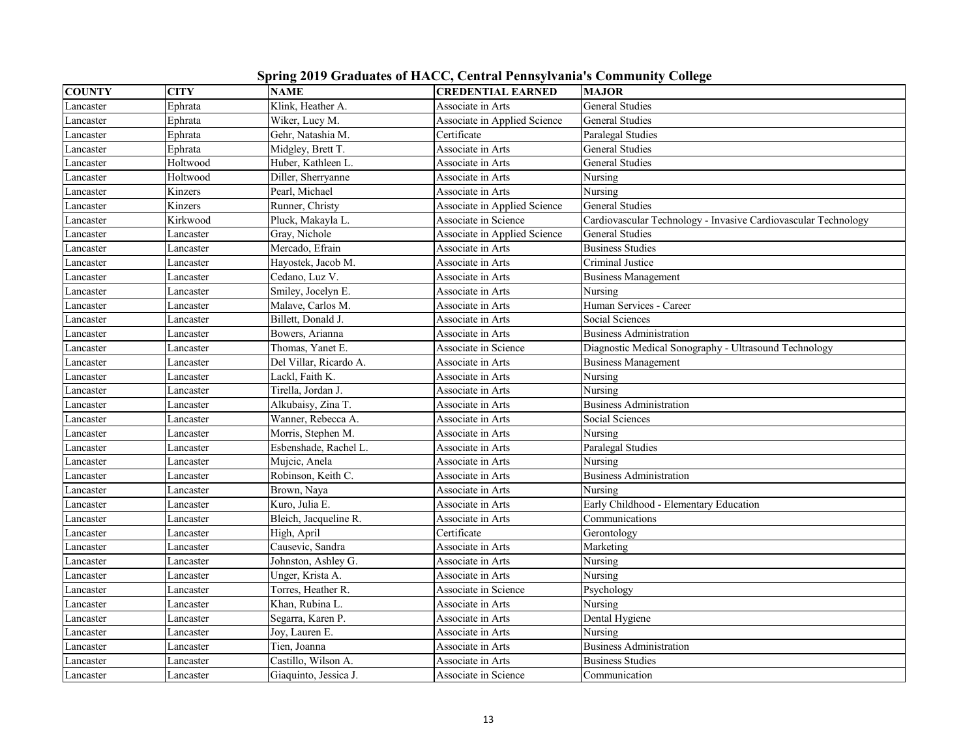|  | Spring 2019 Graduates of HACC, Central Pennsylvania's Community College |  |  |  |  |
|--|-------------------------------------------------------------------------|--|--|--|--|
|  |                                                                         |  |  |  |  |

| <b>COUNTY</b> | <b>CITY</b> | <b>NAME</b>            | <b>CREDENTIAL EARNED</b>     | <b>MAJOR</b>                                                   |
|---------------|-------------|------------------------|------------------------------|----------------------------------------------------------------|
| Lancaster     | Ephrata     | Klink, Heather A.      | Associate in Arts            | General Studies                                                |
| Lancaster     | Ephrata     | Wiker, Lucy M.         | Associate in Applied Science | General Studies                                                |
| Lancaster     | Ephrata     | Gehr, Natashia M.      | Certificate                  | Paralegal Studies                                              |
| Lancaster     | Ephrata     | Midgley, Brett T.      | Associate in Arts            | General Studies                                                |
| Lancaster     | Holtwood    | Huber, Kathleen L.     | Associate in Arts            | General Studies                                                |
| Lancaster     | Holtwood    | Diller, Sherryanne     | Associate in Arts            | Nursing                                                        |
| Lancaster     | Kinzers     | Pearl, Michael         | Associate in Arts            | Nursing                                                        |
| Lancaster     | Kinzers     | Runner, Christy        | Associate in Applied Science | <b>General Studies</b>                                         |
| Lancaster     | Kirkwood    | Pluck, Makayla L.      | Associate in Science         | Cardiovascular Technology - Invasive Cardiovascular Technology |
| Lancaster     | Lancaster   | Gray, Nichole          | Associate in Applied Science | General Studies                                                |
| Lancaster     | Lancaster   | Mercado, Efrain        | Associate in Arts            | <b>Business Studies</b>                                        |
| Lancaster     | Lancaster   | Hayostek, Jacob M.     | Associate in Arts            | Criminal Justice                                               |
| Lancaster     | Lancaster   | Cedano, Luz V.         | Associate in Arts            | <b>Business Management</b>                                     |
| Lancaster     | Lancaster   | Smiley, Jocelyn E.     | Associate in Arts            | Nursing                                                        |
| Lancaster     | Lancaster   | Malave, Carlos M.      | Associate in Arts            | Human Services - Career                                        |
| Lancaster     | Lancaster   | Billett, Donald J.     | Associate in Arts            | Social Sciences                                                |
| Lancaster     | Lancaster   | Bowers, Arianna        | Associate in Arts            | <b>Business Administration</b>                                 |
| Lancaster     | Lancaster   | Thomas, Yanet E.       | Associate in Science         | Diagnostic Medical Sonography - Ultrasound Technology          |
| Lancaster     | Lancaster   | Del Villar, Ricardo A. | Associate in Arts            | <b>Business Management</b>                                     |
| Lancaster     | Lancaster   | Lackl, Faith K.        | Associate in Arts            | Nursing                                                        |
| Lancaster     | Lancaster   | Tirella, Jordan J.     | Associate in Arts            | Nursing                                                        |
| Lancaster     | Lancaster   | Alkubaisy, Zina T.     | Associate in Arts            | <b>Business Administration</b>                                 |
| Lancaster     | Lancaster   | Wanner, Rebecca A.     | Associate in Arts            | Social Sciences                                                |
| Lancaster     | Lancaster   | Morris, Stephen M.     | Associate in Arts            | Nursing                                                        |
| Lancaster     | Lancaster   | Esbenshade, Rachel L.  | Associate in Arts            | Paralegal Studies                                              |
| Lancaster     | Lancaster   | Mujcic, Anela          | Associate in Arts            | Nursing                                                        |
| Lancaster     | Lancaster   | Robinson, Keith C.     | Associate in Arts            | <b>Business Administration</b>                                 |
| Lancaster     | Lancaster   | Brown, Naya            | Associate in Arts            | Nursing                                                        |
| Lancaster     | Lancaster   | Kuro, Julia E.         | Associate in Arts            | Early Childhood - Elementary Education                         |
| Lancaster     | Lancaster   | Bleich, Jacqueline R.  | Associate in Arts            | Communications                                                 |
| Lancaster     | Lancaster   | High, April            | Certificate                  | Gerontology                                                    |
| Lancaster     | Lancaster   | Causevic, Sandra       | Associate in Arts            | Marketing                                                      |
| Lancaster     | Lancaster   | Johnston, Ashley G.    | Associate in Arts            | Nursing                                                        |
| Lancaster     | Lancaster   | Unger, Krista A.       | Associate in Arts            | Nursing                                                        |
| Lancaster     | Lancaster   | Torres, Heather R.     | Associate in Science         | Psychology                                                     |
| Lancaster     | Lancaster   | Khan, Rubina L.        | Associate in Arts            | Nursing                                                        |
| Lancaster     | Lancaster   | Segarra, Karen P.      | Associate in Arts            | Dental Hygiene                                                 |
| Lancaster     | Lancaster   | Joy, Lauren E.         | Associate in Arts            | Nursing                                                        |
| Lancaster     | Lancaster   | Tien, Joanna           | Associate in Arts            | <b>Business Administration</b>                                 |
| Lancaster     | Lancaster   | Castillo, Wilson A.    | Associate in Arts            | <b>Business Studies</b>                                        |
| Lancaster     | Lancaster   | Giaquinto, Jessica J   | Associate in Science         | Communication                                                  |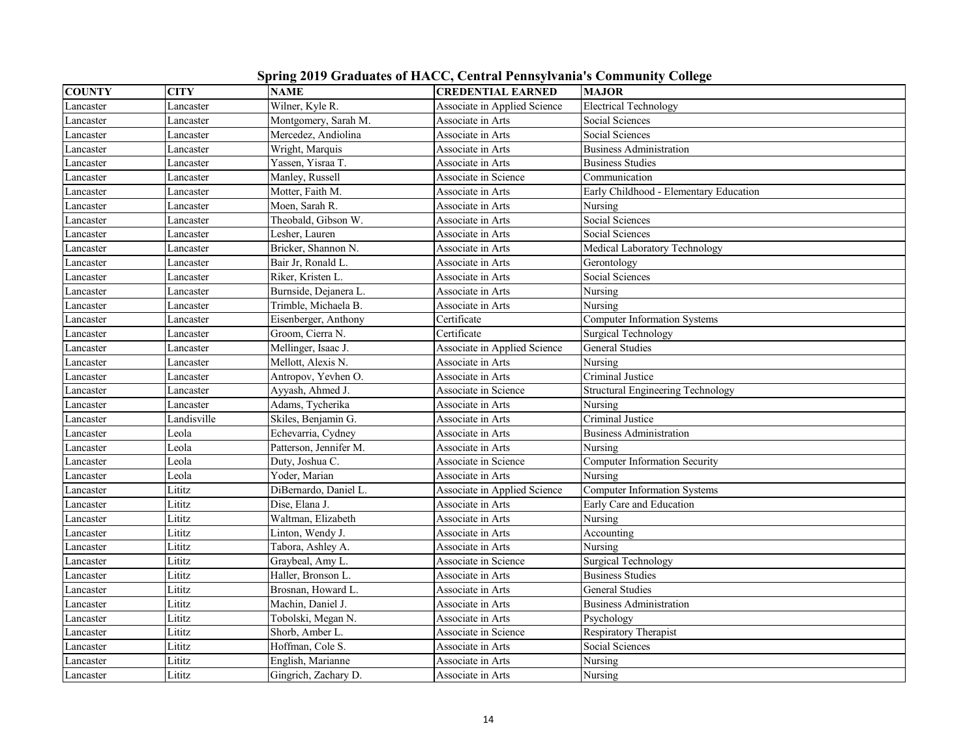|  |  |  | Spring 2019 Graduates of HACC, Central Pennsylvania's Community College |  |  |
|--|--|--|-------------------------------------------------------------------------|--|--|
|  |  |  |                                                                         |  |  |

| <b>COUNTY</b> | <b>CITY</b> | <b>NAME</b>            | <b>CREDENTIAL EARNED</b>     | <b>MAJOR</b>                             |
|---------------|-------------|------------------------|------------------------------|------------------------------------------|
| Lancaster     | Lancaster   | Wilner, Kyle R.        | Associate in Applied Science | <b>Electrical Technology</b>             |
| Lancaster     | Lancaster   | Montgomery, Sarah M.   | Associate in Arts            | Social Sciences                          |
| Lancaster     | Lancaster   | Mercedez, Andiolina    | Associate in Arts            | Social Sciences                          |
| Lancaster     | Lancaster   | Wright, Marquis        | Associate in Arts            | Business Administration                  |
| Lancaster     | Lancaster   | Yassen, Yisraa T.      | Associate in Arts            | <b>Business Studies</b>                  |
| Lancaster     | Lancaster   | Manley, Russell        | Associate in Science         | Communication                            |
| Lancaster     | Lancaster   | Motter, Faith M.       | Associate in Arts            | Early Childhood - Elementary Education   |
| Lancaster     | Lancaster   | Moen, Sarah R.         | Associate in Arts            | Nursing                                  |
| Lancaster     | Lancaster   | Theobald, Gibson W.    | Associate in Arts            | Social Sciences                          |
| Lancaster     | Lancaster   | Lesher, Lauren         | Associate in Arts            | Social Sciences                          |
| Lancaster     | Lancaster   | Bricker, Shannon N.    | Associate in Arts            | Medical Laboratory Technology            |
| Lancaster     | Lancaster   | Bair Jr, Ronald L.     | Associate in Arts            | Gerontology                              |
| Lancaster     | Lancaster   | Riker, Kristen L.      | Associate in Arts            | Social Sciences                          |
| Lancaster     | Lancaster   | Burnside, Dejanera L.  | Associate in Arts            | Nursing                                  |
| Lancaster     | Lancaster   | Trimble, Michaela B.   | Associate in Arts            | Nursing                                  |
| Lancaster     | Lancaster   | Eisenberger, Anthony   | Certificate                  | <b>Computer Information Systems</b>      |
| Lancaster     | Lancaster   | Groom, Cierra N.       | Certificate                  | Surgical Technology                      |
| Lancaster     | Lancaster   | Mellinger, Isaac J.    | Associate in Applied Science | <b>General Studies</b>                   |
| Lancaster     | Lancaster   | Mellott, Alexis N.     | Associate in Arts            | Nursing                                  |
| Lancaster     | Lancaster   | Antropov, Yevhen O.    | Associate in Arts            | Criminal Justice                         |
| Lancaster     | Lancaster   | Ayyash, Ahmed J.       | Associate in Science         | <b>Structural Engineering Technology</b> |
| Lancaster     | Lancaster   | Adams, Tycherika       | Associate in Arts            | Nursing                                  |
| Lancaster     | Landisville | Skiles, Benjamin G.    | Associate in Arts            | Criminal Justice                         |
| Lancaster     | Leola       | Echevarria, Cydney     | Associate in Arts            | <b>Business Administration</b>           |
| Lancaster     | Leola       | Patterson, Jennifer M. | Associate in Arts            | Nursing                                  |
| Lancaster     | Leola       | Duty, Joshua C.        | Associate in Science         | Computer Information Security            |
| Lancaster     | Leola       | Yoder. Marian          | Associate in Arts            | Nursing                                  |
| Lancaster     | Lititz      | DiBernardo, Daniel L.  | Associate in Applied Science | <b>Computer Information Systems</b>      |
| Lancaster     | Lititz      | Dise, Elana J.         | Associate in Arts            | Early Care and Education                 |
| Lancaster     | Lititz      | Waltman, Elizabeth     | Associate in Arts            | Nursing                                  |
| Lancaster     | Lititz      | Linton, Wendy J.       | Associate in Arts            | Accounting                               |
| Lancaster     | Lititz      | Tabora, Ashley A.      | Associate in Arts            | Nursing                                  |
| Lancaster     | Lititz      | Graybeal, Amy L.       | Associate in Science         | <b>Surgical Technology</b>               |
| Lancaster     | Lititz      | Haller, Bronson L.     | Associate in Arts            | <b>Business Studies</b>                  |
| Lancaster     | Lititz      | Brosnan, Howard L.     | Associate in Arts            | General Studies                          |
| Lancaster     | Lititz      | Machin, Daniel J.      | Associate in Arts            | <b>Business Administration</b>           |
| Lancaster     | Lititz      | Tobolski, Megan N.     | Associate in Arts            | Psychology                               |
| Lancaster     | Lititz      | Shorb, Amber L.        | Associate in Science         | Respiratory Therapist                    |
| Lancaster     | Lititz      | Hoffman, Cole S.       | Associate in Arts            | Social Sciences                          |
| Lancaster     | Lititz      | English, Marianne      | Associate in Arts            | Nursing                                  |
| Lancaster     | Lititz      | Gingrich, Zachary D.   | Associate in Arts            | Nursing                                  |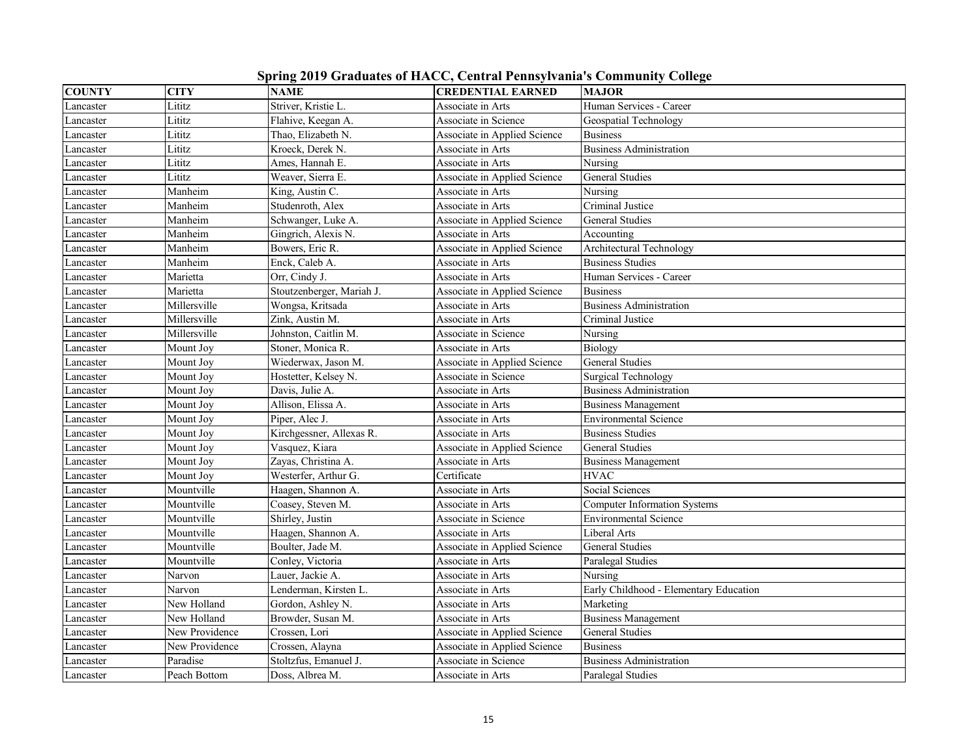|  |  |  | Spring 2019 Graduates of HACC, Central Pennsylvania's Community College |  |  |
|--|--|--|-------------------------------------------------------------------------|--|--|
|  |  |  |                                                                         |  |  |

| <b>COUNTY</b> | <b>CITY</b>    | <b>NAME</b>               | <b>CREDENTIAL EARNED</b>     | <b>MAJOR</b>                           |
|---------------|----------------|---------------------------|------------------------------|----------------------------------------|
| Lancaster     | Lititz         | Striver, Kristie L.       | Associate in Arts            | Human Services - Career                |
| Lancaster     | Lititz         | Flahive, Keegan A.        | Associate in Science         | Geospatial Technology                  |
| Lancaster     | Lititz         | Thao, Elizabeth N.        | Associate in Applied Science | <b>Business</b>                        |
| Lancaster     | Lititz         | Kroeck, Derek N.          | Associate in Arts            | <b>Business Administration</b>         |
| Lancaster     | Lititz         | Ames, Hannah E.           | Associate in Arts            | Nursing                                |
| Lancaster     | Lititz         | Weaver, Sierra E.         | Associate in Applied Science | <b>General Studies</b>                 |
| Lancaster     | Manheim        | King, Austin C.           | Associate in Arts            | Nursing                                |
| Lancaster     | Manheim        | Studenroth, Alex          | Associate in Arts            | Criminal Justice                       |
| Lancaster     | Manheim        | Schwanger, Luke A.        | Associate in Applied Science | <b>General Studies</b>                 |
| Lancaster     | Manheim        | Gingrich, Alexis N.       | Associate in Arts            | Accounting                             |
| Lancaster     | Manheim        | Bowers, Eric R.           | Associate in Applied Science | Architectural Technology               |
| Lancaster     | Manheim        | Enck, Caleb A.            | Associate in Arts            | <b>Business Studies</b>                |
| Lancaster     | Marietta       | Orr, Cindy J.             | Associate in Arts            | Human Services - Career                |
| Lancaster     | Marietta       | Stoutzenberger, Mariah J. | Associate in Applied Science | <b>Business</b>                        |
| Lancaster     | Millersville   | Wongsa, Kritsada          | Associate in Arts            | <b>Business Administration</b>         |
| Lancaster     | Millersville   | Zink, Austin M.           | Associate in Arts            | Criminal Justice                       |
| Lancaster     | Millersville   | Johnston, Caitlin M.      | Associate in Science         | Nursing                                |
| Lancaster     | Mount Joy      | Stoner, Monica R.         | Associate in Arts            | Biology                                |
| Lancaster     | Mount Joy      | Wiederwax, Jason M.       | Associate in Applied Science | <b>General Studies</b>                 |
| Lancaster     | Mount Joy      | Hostetter, Kelsey N.      | Associate in Science         | Surgical Technology                    |
| Lancaster     | Mount Jov      | Davis. Julie A.           | Associate in Arts            | <b>Business Administration</b>         |
| Lancaster     | Mount Joy      | Allison, Elissa A.        | Associate in Arts            | <b>Business Management</b>             |
| Lancaster     | Mount Joy      | Piper, Alec J.            | Associate in Arts            | <b>Environmental Science</b>           |
| Lancaster     | Mount Joy      | Kirchgessner, Allexas R.  | Associate in Arts            | <b>Business Studies</b>                |
| Lancaster     | Mount Joy      | Vasquez, Kiara            | Associate in Applied Science | <b>General Studies</b>                 |
| Lancaster     | Mount Joy      | Zayas, Christina A.       | Associate in Arts            | <b>Business Management</b>             |
| Lancaster     | Mount Joy      | Westerfer, Arthur G.      | Certificate                  | <b>HVAC</b>                            |
| Lancaster     | Mountville     | Haagen, Shannon A.        | Associate in Arts            | Social Sciences                        |
| Lancaster     | Mountville     | Coasey, Steven M.         | Associate in Arts            | <b>Computer Information Systems</b>    |
| Lancaster     | Mountville     | Shirley, Justin           | Associate in Science         | Environmental Science                  |
| Lancaster     | Mountville     | Haagen, Shannon A.        | Associate in Arts            | Liberal Arts                           |
| Lancaster     | Mountville     | Boulter, Jade M.          | Associate in Applied Science | General Studies                        |
| Lancaster     | Mountville     | Conley, Victoria          | Associate in Arts            | Paralegal Studies                      |
| Lancaster     | Narvon         | Lauer, Jackie A.          | Associate in Arts            | Nursing                                |
| Lancaster     | Narvon         | Lenderman, Kirsten L.     | Associate in Arts            | Early Childhood - Elementary Education |
| Lancaster     | New Holland    | Gordon, Ashley N.         | Associate in Arts            | Marketing                              |
| Lancaster     | New Holland    | Browder, Susan M.         | Associate in Arts            | <b>Business Management</b>             |
| Lancaster     | New Providence | Crossen, Lori             | Associate in Applied Science | <b>General Studies</b>                 |
| Lancaster     | New Providence | Crossen, Alayna           | Associate in Applied Science | <b>Business</b>                        |
| Lancaster     | Paradise       | Stoltzfus, Emanuel J.     | Associate in Science         | <b>Business Administration</b>         |
| Lancaster     | Peach Bottom   | Doss, Albrea M.           | Associate in Arts            | Paralegal Studies                      |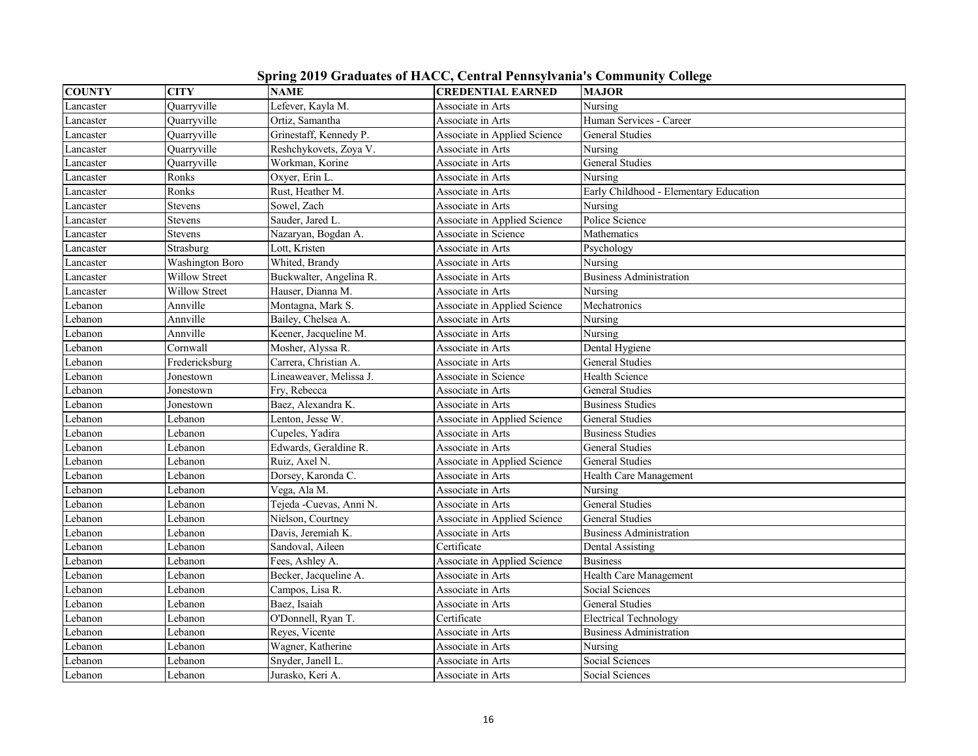|  |  |  | Spring 2019 Graduates of HACC, Central Pennsylvania's Community College |  |
|--|--|--|-------------------------------------------------------------------------|--|
|  |  |  |                                                                         |  |

| <b>COUNTY</b> | <b>CITY</b>            | <b>NAME</b>             | <b>CREDENTIAL EARNED</b>     | <b>MAJOR</b>                           |
|---------------|------------------------|-------------------------|------------------------------|----------------------------------------|
| Lancaster     | Quarryville            | Lefever, Kayla M.       | Associate in Arts            | Nursing                                |
| Lancaster     | Quarryville            | Ortiz, Samantha         | Associate in Arts            | Human Services - Career                |
| Lancaster     | Ouarryville            | Grinestaff, Kennedy P.  | Associate in Applied Science | <b>General Studies</b>                 |
| Lancaster     | Quarryville            | Reshchykovets, Zoya V.  | Associate in Arts            | Nursing                                |
| Lancaster     | Quarryville            | Workman, Korine         | Associate in Arts            | <b>General Studies</b>                 |
| Lancaster     | Ronks                  | Oxyer, Erin L.          | Associate in Arts            | Nursing                                |
| Lancaster     | Ronks                  | Rust, Heather M.        | Associate in Arts            | Early Childhood - Elementary Education |
| Lancaster     | Stevens                | Sowel, Zach             | Associate in Arts            | Nursing                                |
| Lancaster     | Stevens                | Sauder, Jared L.        | Associate in Applied Science | Police Science                         |
| Lancaster     | Stevens                | Nazaryan, Bogdan A.     | Associate in Science         | Mathematics                            |
| Lancaster     | Strasburg              | Lott, Kristen           | Associate in Arts            | Psychology                             |
| Lancaster     | <b>Washington Boro</b> | Whited, Brandy          | Associate in Arts            | Nursing                                |
| Lancaster     | Willow Street          | Buckwalter, Angelina R. | Associate in Arts            | <b>Business Administration</b>         |
| Lancaster     | <b>Willow Street</b>   | Hauser, Dianna M.       | Associate in Arts            | Nursing                                |
| Lebanon       | Annville               | Montagna, Mark S.       | Associate in Applied Science | Mechatronics                           |
| Lebanon       | Annville               | Bailey, Chelsea A.      | Associate in Arts            | Nursing                                |
| Lebanon       | Annville               | Keener, Jacqueline M.   | Associate in Arts            | Nursing                                |
| Lebanon       | Cornwall               | Mosher, Alyssa R.       | Associate in Arts            | Dental Hygiene                         |
| Lebanon       | Fredericksburg         | Carrera, Christian A.   | Associate in Arts            | <b>General Studies</b>                 |
| Lebanon       | Jonestown              | Lineaweaver, Melissa J. | Associate in Science         | Health Science                         |
| Lebanon       | Jonestown              | Fry, Rebecca            | Associate in Arts            | <b>General Studies</b>                 |
| Lebanon       | Jonestown              | Baez, Alexandra K.      | Associate in Arts            | <b>Business Studies</b>                |
| Lebanon       | Lebanon                | Lenton, Jesse W.        | Associate in Applied Science | <b>General Studies</b>                 |
| Lebanon       | Lebanon                | Cupeles, Yadira         | Associate in Arts            | <b>Business Studies</b>                |
| Lebanon       | Lebanon                | Edwards, Geraldine R.   | Associate in Arts            | <b>General Studies</b>                 |
| Lebanon       | Lebanon                | Ruiz, Axel N.           | Associate in Applied Science | <b>General Studies</b>                 |
| Lebanon       | Lebanon                | Dorsey, Karonda C.      | Associate in Arts            | Health Care Management                 |
| Lebanon       | Lebanon                | Vega, Ala M.            | Associate in Arts            | Nursing                                |
| Lebanon       | Lebanon                | Tejeda -Cuevas, Anni N. | Associate in Arts            | <b>General Studies</b>                 |
| Lebanon       | Lebanon                | Nielson, Courtney       | Associate in Applied Science | <b>General Studies</b>                 |
| Lebanon       | Lebanon                | Davis, Jeremiah K.      | Associate in Arts            | <b>Business Administration</b>         |
| Lebanon       | Lebanon                | Sandoval. Aileen        | Certificate                  | <b>Dental Assisting</b>                |
| Lebanon       | Lebanon                | Fees, Ashley A.         | Associate in Applied Science | <b>Business</b>                        |
| Lebanon       | Lebanon                | Becker, Jacqueline A.   | Associate in Arts            | Health Care Management                 |
| Lebanon       | Lebanon                | Campos, Lisa R.         | Associate in Arts            | Social Sciences                        |
| Lebanon       | Lebanon                | Baez, Isaiah            | Associate in Arts            | <b>General Studies</b>                 |
| Lebanon       | Lebanon                | O'Donnell, Ryan T.      | Certificate                  | Electrical Technology                  |
| Lebanon       | Lebanon                | Reyes, Vicente          | Associate in Arts            | <b>Business Administration</b>         |
| Lebanon       | Lebanon                | Wagner, Katherine       | Associate in Arts            | Nursing                                |
| Lebanon       | Lebanon                | Snyder, Janell L.       | Associate in Arts            | Social Sciences                        |
| Lebanon       | Lebanon                | Jurasko, Keri A.        | Associate in Arts            | Social Sciences                        |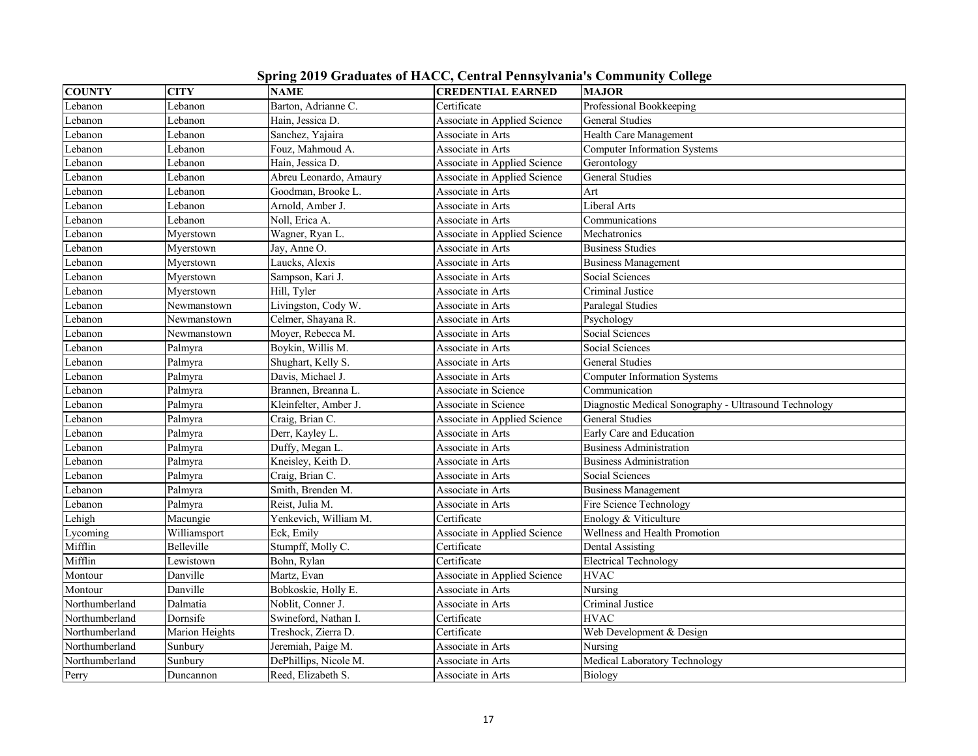|  |  |  |  | Spring 2019 Graduates of HACC, Central Pennsylvania's Community College |  |
|--|--|--|--|-------------------------------------------------------------------------|--|
|  |  |  |  |                                                                         |  |

| <b>COUNTY</b>  | <b>CITY</b>    | <b>NAME</b>            | <b>CREDENTIAL EARNED</b>     | <b>MAJOR</b>                                          |
|----------------|----------------|------------------------|------------------------------|-------------------------------------------------------|
| Lebanon        | Lebanon        | Barton, Adrianne C.    | Certificate                  | Professional Bookkeeping                              |
| Lebanon        | Lebanon        | Hain, Jessica D.       | Associate in Applied Science | <b>General Studies</b>                                |
| Lebanon        | Lebanon        | Sanchez, Yajaira       | Associate in Arts            | <b>Health Care Management</b>                         |
| Lebanon        | Lebanon        | Fouz, Mahmoud A.       | Associate in Arts            | <b>Computer Information Systems</b>                   |
| Lebanon        | Lebanon        | Hain, Jessica D.       | Associate in Applied Science | Gerontology                                           |
| Lebanon        | Lebanon        | Abreu Leonardo, Amaury | Associate in Applied Science | <b>General Studies</b>                                |
| Lebanon        | Lebanon        | Goodman, Brooke L.     | Associate in Arts            | Art                                                   |
| Lebanon        | Lebanon        | Arnold, Amber J.       | Associate in Arts            | Liberal Arts                                          |
| Lebanon        | Lebanon        | Noll, Erica A.         | Associate in Arts            | Communications                                        |
| Lebanon        | Myerstown      | Wagner, Ryan L.        | Associate in Applied Science | Mechatronics                                          |
| Lebanon        | Myerstown      | Jay, Anne O.           | Associate in Arts            | <b>Business Studies</b>                               |
| Lebanon        | Myerstown      | Laucks, Alexis         | Associate in Arts            | <b>Business Management</b>                            |
| Lebanon        | Myerstown      | Sampson, Kari J.       | Associate in Arts            | Social Sciences                                       |
| Lebanon        | Myerstown      | Hill, Tyler            | Associate in Arts            | Criminal Justice                                      |
| Lebanon        | Newmanstown    | Livingston, Cody W.    | Associate in Arts            | Paralegal Studies                                     |
| Lebanon        | Newmanstown    | Celmer, Shayana R.     | Associate in Arts            | Psychology                                            |
| Lebanon        | Newmanstown    | Moyer, Rebecca M.      | Associate in Arts            | Social Sciences                                       |
| Lebanon        | Palmyra        | Boykin, Willis M.      | Associate in Arts            | Social Sciences                                       |
| Lebanon        | Palmyra        | Shughart, Kelly S.     | Associate in Arts            | General Studies                                       |
| Lebanon        | Palmyra        | Davis, Michael J.      | Associate in Arts            | <b>Computer Information Systems</b>                   |
| Lebanon        | Palmyra        | Brannen. Breanna L.    | Associate in Science         | Communication                                         |
| Lebanon        | Palmyra        | Kleinfelter, Amber J.  | Associate in Science         | Diagnostic Medical Sonography - Ultrasound Technology |
| Lebanon        | Palmyra        | Craig, Brian C.        | Associate in Applied Science | <b>General Studies</b>                                |
| Lebanon        | Palmyra        | Derr, Kayley L.        | Associate in Arts            | Early Care and Education                              |
| Lebanon        | Palmyra        | Duffy, Megan L.        | Associate in Arts            | <b>Business Administration</b>                        |
| Lebanon        | Palmyra        | Kneisley, Keith D.     | Associate in Arts            | <b>Business Administration</b>                        |
| Lebanon        | Palmyra        | Craig, Brian C.        | Associate in Arts            | Social Sciences                                       |
| Lebanon        | Palmyra        | Smith, Brenden M.      | Associate in Arts            | <b>Business Management</b>                            |
| Lebanon        | Palmyra        | Reist, Julia M.        | Associate in Arts            | Fire Science Technology                               |
| Lehigh         | Macungie       | Yenkevich, William M.  | Certificate                  | Enology & Viticulture                                 |
| Lycoming       | Williamsport   | Eck, Emily             | Associate in Applied Science | Wellness and Health Promotion                         |
| Mifflin        | Belleville     | Stumpff, Molly C.      | Certificate                  | Dental Assisting                                      |
| Mifflin        | Lewistown      | Bohn, Rylan            | Certificate                  | <b>Electrical Technology</b>                          |
| Montour        | Danville       | Martz, Evan            | Associate in Applied Science | <b>HVAC</b>                                           |
| Montour        | Danville       | Bobkoskie, Holly E.    | Associate in Arts            | Nursing                                               |
| Northumberland | Dalmatia       | Noblit, Conner J.      | Associate in Arts            | Criminal Justice                                      |
| Northumberland | Dornsife       | Swineford, Nathan I.   | Certificate                  | <b>HVAC</b>                                           |
| Northumberland | Marion Heights | Treshock, Zierra D.    | Certificate                  | Web Development & Design                              |
| Northumberland | Sunbury        | Jeremiah, Paige M.     | Associate in Arts            | Nursing                                               |
| Northumberland | Sunbury        | DePhillips, Nicole M.  | Associate in Arts            | Medical Laboratory Technology                         |
| Perry          | Duncannon      | Reed, Elizabeth S.     | Associate in Arts            | Biology                                               |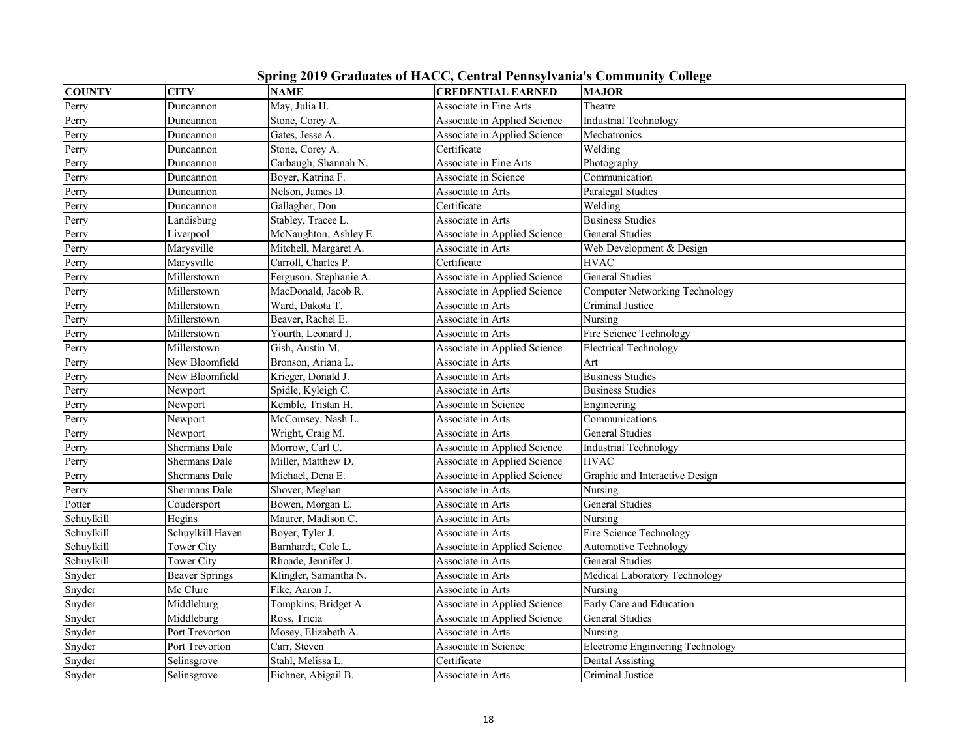|  |  |  | Spring 2019 Graduates of HACC, Central Pennsylvania's Community College |  |  |
|--|--|--|-------------------------------------------------------------------------|--|--|
|  |  |  |                                                                         |  |  |

| <b>COUNTY</b> | <b>CITY</b>           | <b>NAME</b>            | <b>CREDENTIAL EARNED</b>     | <b>MAJOR</b>                             |
|---------------|-----------------------|------------------------|------------------------------|------------------------------------------|
| Perry         | Duncannon             | May, Julia H.          | Associate in Fine Arts       | Theatre                                  |
| Perry         | Duncannon             | Stone, Corey A.        | Associate in Applied Science | <b>Industrial Technology</b>             |
| Perry         | Duncannon             | Gates, Jesse A.        | Associate in Applied Science | Mechatronics                             |
| Perry         | Duncannon             | Stone, Corey A.        | Certificate                  | Welding                                  |
| Perry         | Duncannon             | Carbaugh, Shannah N.   | Associate in Fine Arts       | Photography                              |
| Perry         | Duncannon             | Boyer, Katrina F.      | Associate in Science         | Communication                            |
| Perry         | Duncannon             | Nelson, James D.       | Associate in Arts            | Paralegal Studies                        |
| Perry         | Duncannon             | Gallagher, Don         | Certificate                  | Welding                                  |
| Perry         | Landisburg            | Stabley, Tracee L.     | Associate in Arts            | <b>Business Studies</b>                  |
| Perry         | Liverpool             | McNaughton, Ashley E.  | Associate in Applied Science | <b>General Studies</b>                   |
| Perry         | Marysville            | Mitchell, Margaret A.  | Associate in Arts            | Web Development & Design                 |
| Perry         | Marysville            | Carroll, Charles P.    | Certificate                  | <b>HVAC</b>                              |
| Perry         | Millerstown           | Ferguson, Stephanie A. | Associate in Applied Science | <b>General Studies</b>                   |
| Perry         | Millerstown           | MacDonald, Jacob R.    | Associate in Applied Science | <b>Computer Networking Technology</b>    |
| Perry         | Millerstown           | Ward, Dakota T.        | Associate in Arts            | Criminal Justice                         |
| Perry         | Millerstown           | Beaver, Rachel E.      | Associate in Arts            | Nursing                                  |
| Perry         | Millerstown           | Yourth, Leonard J.     | Associate in Arts            | Fire Science Technology                  |
| Perry         | Millerstown           | Gish, Austin M.        | Associate in Applied Science | <b>Electrical Technology</b>             |
| Perry         | New Bloomfield        | Bronson, Ariana L.     | Associate in Arts            | Art                                      |
| Perry         | New Bloomfield        | Krieger, Donald J.     | Associate in Arts            | <b>Business Studies</b>                  |
| Perry         | Newport               | Spidle, Kyleigh C.     | Associate in Arts            | <b>Business Studies</b>                  |
| Perry         | Newport               | Kemble, Tristan H.     | Associate in Science         | Engineering                              |
| Perry         | Newport               | McComsey, Nash L.      | Associate in Arts            | Communications                           |
| Perry         | Newport               | Wright, Craig M.       | Associate in Arts            | General Studies                          |
| Perry         | Shermans Dale         | Morrow, Carl C.        | Associate in Applied Science | <b>Industrial Technology</b>             |
| Perry         | Shermans Dale         | Miller, Matthew D.     | Associate in Applied Science | HVAC                                     |
| Perry         | Shermans Dale         | Michael, Dena E.       | Associate in Applied Science | Graphic and Interactive Design           |
| Perry         | Shermans Dale         | Shover, Meghan         | Associate in Arts            | Nursing                                  |
| Potter        | Coudersport           | Bowen, Morgan E.       | Associate in Arts            | <b>General Studies</b>                   |
| Schuylkill    | Hegins                | Maurer, Madison C.     | Associate in Arts            | Nursing                                  |
| Schuylkill    | Schuylkill Haven      | Boyer, Tyler J.        | Associate in Arts            | Fire Science Technology                  |
| Schuylkill    | Tower City            | Barnhardt, Cole L.     | Associate in Applied Science | <b>Automotive Technology</b>             |
| Schuylkill    | Tower City            | Rhoade, Jennifer J.    | Associate in Arts            | General Studies                          |
| Snyder        | <b>Beaver Springs</b> | Klingler, Samantha N.  | Associate in Arts            | Medical Laboratory Technology            |
| Snyder        | Mc Clure              | Fike, Aaron J.         | Associate in Arts            | Nursing                                  |
| Snyder        | Middleburg            | Tompkins, Bridget A.   | Associate in Applied Science | Early Care and Education                 |
| Snyder        | Middleburg            | Ross, Tricia           | Associate in Applied Science | <b>General Studies</b>                   |
| Snyder        | Port Trevorton        | Mosey, Elizabeth A.    | Associate in Arts            | Nursing                                  |
| Snyder        | Port Trevorton        | Carr, Steven           | Associate in Science         | <b>Electronic Engineering Technology</b> |
| Snyder        | Selinsgrove           | Stahl, Melissa L.      | Certificate                  | Dental Assisting                         |
| Snyder        | Selinsgrove           | Eichner, Abigail B.    | Associate in Arts            | Criminal Justice                         |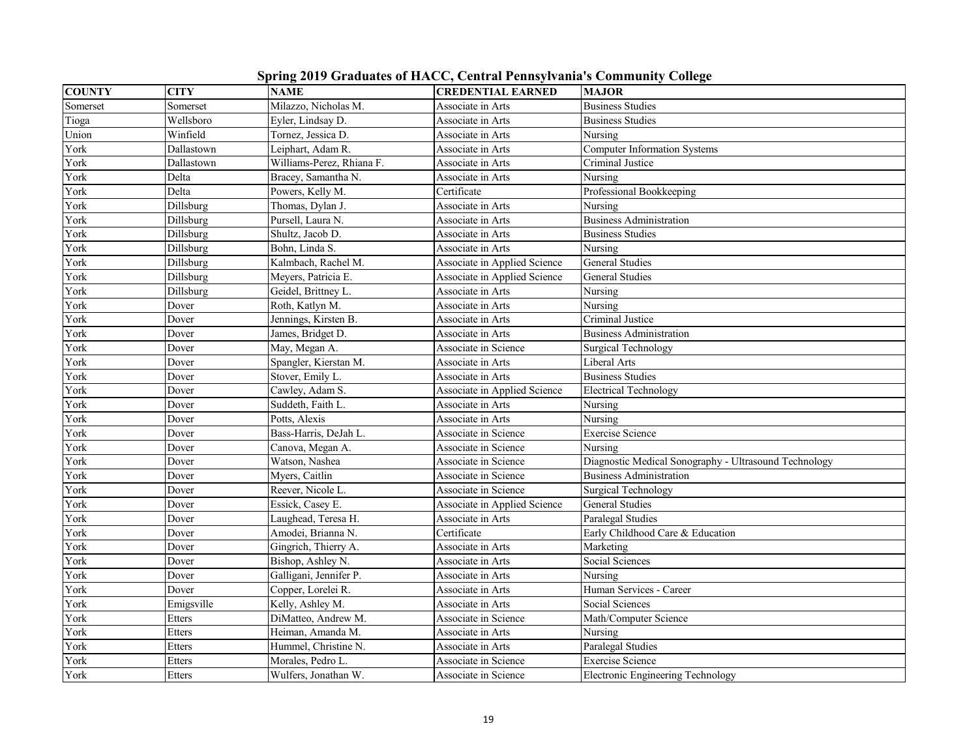| <b>COUNTY</b> | <b>CITY</b> | <b>NAME</b>               | <b>CREDENTIAL EARNED</b>     | <b>MAJOR</b>                                          |
|---------------|-------------|---------------------------|------------------------------|-------------------------------------------------------|
| Somerset      | Somerset    | Milazzo, Nicholas M.      | Associate in Arts            | <b>Business Studies</b>                               |
| Tioga         | Wellsboro   | Eyler, Lindsay D.         | Associate in Arts            | <b>Business Studies</b>                               |
| Union         | Winfield    | Tornez, Jessica D.        | Associate in Arts            | Nursing                                               |
| York          | Dallastown  | Leiphart, Adam R.         | Associate in Arts            | <b>Computer Information Systems</b>                   |
| York          | Dallastown  | Williams-Perez, Rhiana F. | Associate in Arts            | Criminal Justice                                      |
| York          | Delta       | Bracey, Samantha N.       | Associate in Arts            | Nursing                                               |
| York          | Delta       | Powers, Kelly M.          | Certificate                  | Professional Bookkeeping                              |
| York          | Dillsburg   | Thomas, Dylan J.          | Associate in Arts            | Nursing                                               |
| York          | Dillsburg   | Pursell, Laura N.         | Associate in Arts            | <b>Business Administration</b>                        |
| York          | Dillsburg   | Shultz, Jacob D.          | Associate in Arts            | <b>Business Studies</b>                               |
| York          | Dillsburg   | Bohn, Linda S.            | Associate in Arts            | Nursing                                               |
| York          | Dillsburg   | Kalmbach, Rachel M.       | Associate in Applied Science | <b>General Studies</b>                                |
| York          | Dillsburg   | Meyers, Patricia E.       | Associate in Applied Science | General Studies                                       |
| York          | Dillsburg   | Geidel, Brittney L.       | Associate in Arts            | Nursing                                               |
| York          | Dover       | Roth, Katlyn M.           | Associate in Arts            | Nursing                                               |
| York          | Dover       | Jennings, Kirsten B.      | Associate in Arts            | Criminal Justice                                      |
| York          | Dover       | James, Bridget D.         | Associate in Arts            | <b>Business Administration</b>                        |
| York          | Dover       | May, Megan A.             | Associate in Science         | Surgical Technology                                   |
| York          | Dover       | Spangler, Kierstan M.     | Associate in Arts            | Liberal Arts                                          |
| York          | Dover       | Stover, Emily L.          | Associate in Arts            | <b>Business Studies</b>                               |
| York          | Dover       | Cawley, Adam S.           | Associate in Applied Science | Electrical Technology                                 |
| York          | Dover       | Suddeth, Faith L.         | Associate in Arts            | Nursing                                               |
| York          | Dover       | Potts, Alexis             | Associate in Arts            | Nursing                                               |
| York          | Dover       | Bass-Harris, DeJah L.     | Associate in Science         | Exercise Science                                      |
| York          | Dover       | Canova, Megan A.          | Associate in Science         | Nursing                                               |
| York          | Dover       | Watson, Nashea            | Associate in Science         | Diagnostic Medical Sonography - Ultrasound Technology |
| York          | Dover       | Myers, Caitlin            | Associate in Science         | <b>Business Administration</b>                        |
| York          | Dover       | Reever, Nicole L.         | Associate in Science         | <b>Surgical Technology</b>                            |
| York          | Dover       | Essick, Casey E.          | Associate in Applied Science | General Studies                                       |
| York          | Dover       | Laughead, Teresa H.       | Associate in Arts            | Paralegal Studies                                     |
| York          | Dover       | Amodei, Brianna N.        | Certificate                  | Early Childhood Care & Education                      |
| York          | Dover       | Gingrich, Thierry A.      | Associate in Arts            | Marketing                                             |
| York          | Dover       | Bishop, Ashley N.         | Associate in Arts            | Social Sciences                                       |
| York          | Dover       | Galligani, Jennifer P.    | Associate in Arts            | Nursing                                               |
| York          | Dover       | Copper, Lorelei R.        | Associate in Arts            | Human Services - Career                               |
| York          | Emigsville  | Kelly, Ashley M.          | Associate in Arts            | Social Sciences                                       |
| York          | Etters      | DiMatteo, Andrew M.       | Associate in Science         | Math/Computer Science                                 |
| York          | Etters      | Heiman, Amanda M.         | Associate in Arts            | Nursing                                               |
| York          | Etters      | Hummel, Christine N.      | Associate in Arts            | Paralegal Studies                                     |
| York          | Etters      | Morales, Pedro L.         | Associate in Science         | Exercise Science                                      |
| York          | Etters      | Wulfers, Jonathan W.      | Associate in Science         | Electronic Engineering Technology                     |

**Spring 2019 Graduates of HACC, Central Pennsylvania's Community College**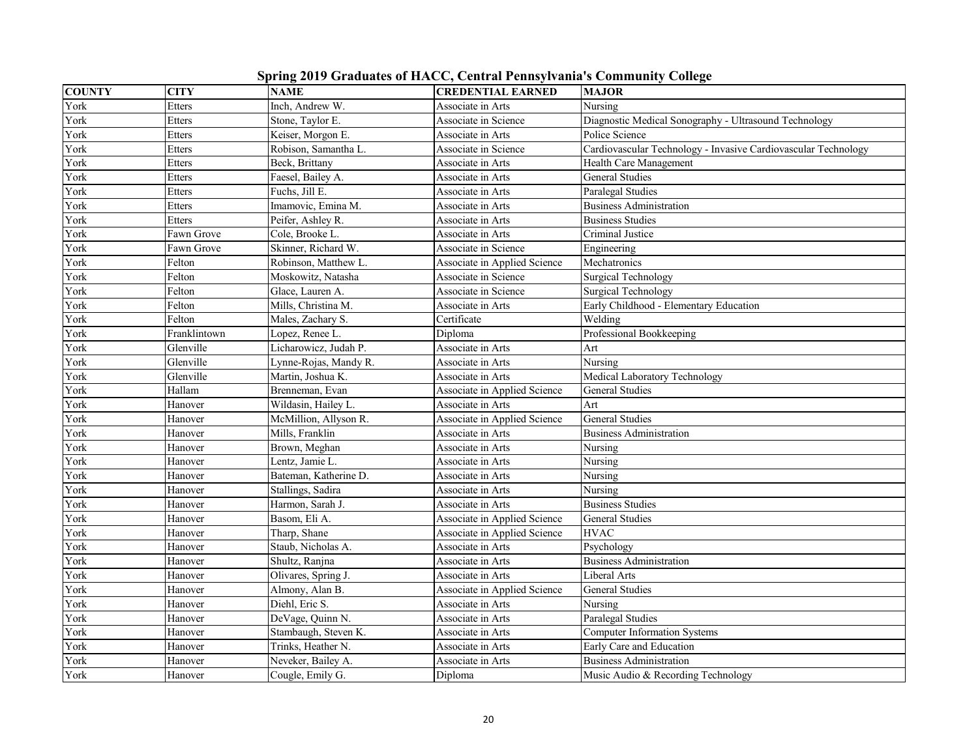|  |  |  | Spring 2019 Graduates of HACC, Central Pennsylvania's Community College |  |  |
|--|--|--|-------------------------------------------------------------------------|--|--|
|  |  |  |                                                                         |  |  |

| <b>COUNTY</b> | <b>CITY</b>  | <b>NAME</b>           | <b>CREDENTIAL EARNED</b>     | <b>MAJOR</b>                                                   |
|---------------|--------------|-----------------------|------------------------------|----------------------------------------------------------------|
| York          | Etters       | Inch, Andrew W.       | Associate in Arts            | Nursing                                                        |
| York          | Etters       | Stone, Taylor E.      | Associate in Science         | Diagnostic Medical Sonography - Ultrasound Technology          |
| York          | Etters       | Keiser, Morgon E.     | Associate in Arts            | Police Science                                                 |
| York          | Etters       | Robison, Samantha L.  | Associate in Science         | Cardiovascular Technology - Invasive Cardiovascular Technology |
| York          | Etters       | Beck, Brittany        | Associate in Arts            | Health Care Management                                         |
| York          | Etters       | Faesel, Bailey A.     | Associate in Arts            | <b>General Studies</b>                                         |
| York          | Etters       | Fuchs, Jill E.        | Associate in Arts            | Paralegal Studies                                              |
| York          | Etters       | Imamovic, Emina M.    | Associate in Arts            | <b>Business Administration</b>                                 |
| York          | Etters       | Peifer, Ashley R.     | Associate in Arts            | <b>Business Studies</b>                                        |
| York          | Fawn Grove   | Cole, Brooke L.       | Associate in Arts            | Criminal Justice                                               |
| York          | Fawn Grove   | Skinner, Richard W.   | Associate in Science         | Engineering                                                    |
| York          | Felton       | Robinson, Matthew L.  | Associate in Applied Science | Mechatronics                                                   |
| York          | Felton       | Moskowitz, Natasha    | Associate in Science         | Surgical Technology                                            |
| York          | Felton       | Glace, Lauren A.      | Associate in Science         | Surgical Technology                                            |
| York          | Felton       | Mills, Christina M.   | Associate in Arts            | Early Childhood - Elementary Education                         |
| York          | Felton       | Males, Zachary S.     | Certificate                  | Welding                                                        |
| York          | Franklintown | Lopez, Renee L.       | Diploma                      | Professional Bookkeeping                                       |
| York          | Glenville    | Licharowicz, Judah P. | Associate in Arts            | Art                                                            |
| York          | Glenville    | Lynne-Rojas, Mandy R. | Associate in Arts            | Nursing                                                        |
| York          | Glenville    | Martin, Joshua K.     | Associate in Arts            | Medical Laboratory Technology                                  |
| York          | Hallam       | Brenneman, Evan       | Associate in Applied Science | <b>General Studies</b>                                         |
| York          | Hanover      | Wildasin, Hailey L.   | Associate in Arts            | Art                                                            |
| York          | Hanover      | McMillion, Allyson R. | Associate in Applied Science | <b>General Studies</b>                                         |
| York          | Hanover      | Mills, Franklin       | Associate in Arts            | <b>Business Administration</b>                                 |
| York          | Hanover      | Brown, Meghan         | Associate in Arts            | Nursing                                                        |
| York          | Hanover      | Lentz, Jamie L.       | Associate in Arts            | Nursing                                                        |
| York          | Hanover      | Bateman, Katherine D. | Associate in Arts            | Nursing                                                        |
| York          | Hanover      | Stallings, Sadira     | Associate in Arts            | Nursing                                                        |
| York          | Hanover      | Harmon, Sarah J.      | Associate in Arts            | <b>Business Studies</b>                                        |
| York          | Hanover      | Basom, Eli A.         | Associate in Applied Science | General Studies                                                |
| York          | Hanover      | Tharp, Shane          | Associate in Applied Science | <b>HVAC</b>                                                    |
| York          | Hanover      | Staub, Nicholas A.    | Associate in Arts            | Psychology                                                     |
| York          | Hanover      | Shultz, Ranjna        | Associate in Arts            | <b>Business Administration</b>                                 |
| York          | Hanover      | Olivares, Spring J.   | Associate in Arts            | Liberal Arts                                                   |
| York          | Hanover      | Almony, Alan B.       | Associate in Applied Science | General Studies                                                |
| York          | Hanover      | Diehl, Eric S.        | Associate in Arts            | Nursing                                                        |
| York          | Hanover      | DeVage, Quinn N.      | Associate in Arts            | Paralegal Studies                                              |
| York          | Hanover      | Stambaugh, Steven K.  | Associate in Arts            | <b>Computer Information Systems</b>                            |
| York          | Hanover      | Trinks, Heather N.    | Associate in Arts            | Early Care and Education                                       |
| York          | Hanover      | Neveker, Bailey A.    | Associate in Arts            | <b>Business Administration</b>                                 |
| York          | Hanover      | Cougle, Emily G.      | Diploma                      | Music Audio & Recording Technology                             |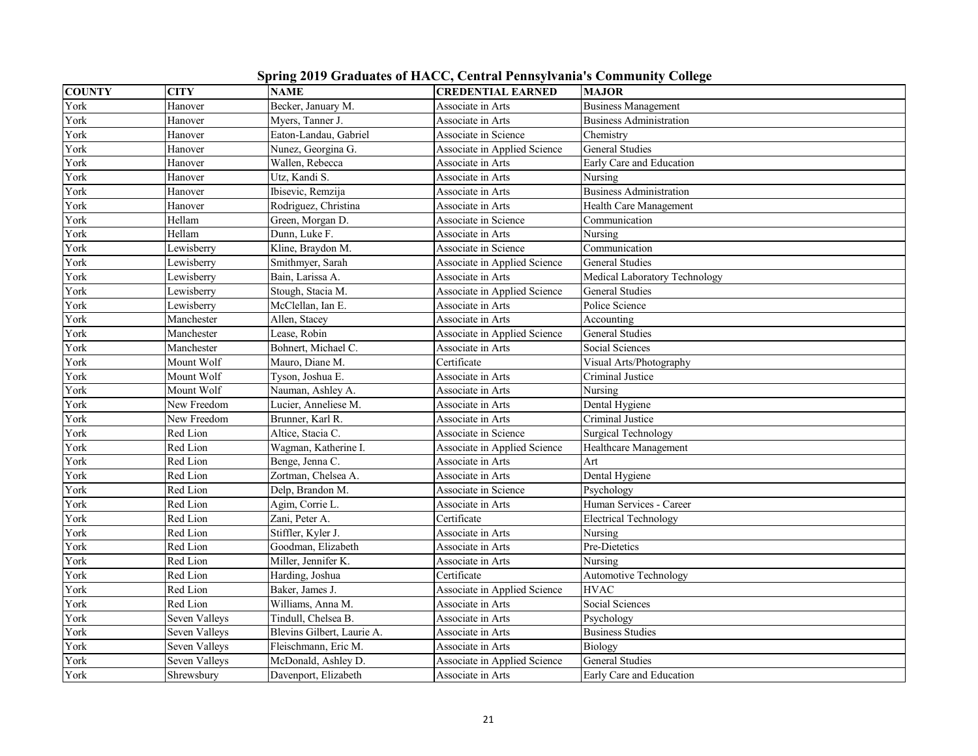| Spring 2019 Graduates of HACC, Central Pennsylvania's Community College |  |  |
|-------------------------------------------------------------------------|--|--|
|                                                                         |  |  |

| <b>COUNTY</b> | <b>CITY</b>   | <b>NAME</b>                | <b>CREDENTIAL EARNED</b>     | <b>MAJOR</b>                   |
|---------------|---------------|----------------------------|------------------------------|--------------------------------|
| York          | Hanover       | Becker, January M.         | Associate in Arts            | <b>Business Management</b>     |
| York          | Hanover       | Myers, Tanner J.           | Associate in Arts            | <b>Business Administration</b> |
| York          | Hanover       | Eaton-Landau, Gabriel      | Associate in Science         | Chemistry                      |
| York          | Hanover       | Nunez, Georgina G.         | Associate in Applied Science | <b>General Studies</b>         |
| York          | Hanover       | Wallen, Rebecca            | Associate in Arts            | Early Care and Education       |
| York          | Hanover       | Utz. Kandi S.              | Associate in Arts            | Nursing                        |
| York          | Hanover       | Ibisevic, Remzija          | Associate in Arts            | <b>Business Administration</b> |
| York          | Hanover       | Rodriguez, Christina       | Associate in Arts            | Health Care Management         |
| York          | Hellam        | Green, Morgan D.           | Associate in Science         | Communication                  |
| York          | Hellam        | Dunn, Luke F.              | Associate in Arts            | Nursing                        |
| York          | Lewisberry    | Kline, Braydon M.          | Associate in Science         | Communication                  |
| York          | Lewisberry    | Smithmyer, Sarah           | Associate in Applied Science | <b>General Studies</b>         |
| York          | Lewisberry    | Bain, Larissa A.           | Associate in Arts            | Medical Laboratory Technology  |
| York          | Lewisberry    | Stough, Stacia M.          | Associate in Applied Science | General Studies                |
| York          | Lewisberry    | McClellan, Ian E.          | Associate in Arts            | Police Science                 |
| York          | Manchester    | Allen, Stacey              | Associate in Arts            | Accounting                     |
| York          | Manchester    | Lease, Robin               | Associate in Applied Science | <b>General Studies</b>         |
| York          | Manchester    | Bohnert, Michael C.        | Associate in Arts            | Social Sciences                |
| York          | Mount Wolf    | Mauro, Diane M.            | Certificate                  | Visual Arts/Photography        |
| York          | Mount Wolf    | Tyson, Joshua E.           | Associate in Arts            | Criminal Justice               |
| York          | Mount Wolf    | Nauman, Ashley A.          | Associate in Arts            | Nursing                        |
| York          | New Freedom   | Lucier, Anneliese M.       | Associate in Arts            | Dental Hygiene                 |
| York          | New Freedom   | Brunner, Karl R.           | Associate in Arts            | Criminal Justice               |
| York          | Red Lion      | Altice, Stacia C.          | Associate in Science         | <b>Surgical Technology</b>     |
| York          | Red Lion      | Wagman, Katherine I.       | Associate in Applied Science | Healthcare Management          |
| York          | Red Lion      | Benge, Jenna C.            | Associate in Arts            | Art                            |
| York          | Red Lion      | Zortman, Chelsea A.        | Associate in Arts            | Dental Hygiene                 |
| York          | Red Lion      | Delp, Brandon M.           | Associate in Science         | Psychology                     |
| York          | Red Lion      | Agim, Corrie L.            | Associate in Arts            | Human Services - Career        |
| York          | Red Lion      | Zani, Peter A.             | Certificate                  | <b>Electrical Technology</b>   |
| York          | Red Lion      | Stiffler, Kyler J.         | Associate in Arts            | Nursing                        |
| York          | Red Lion      | Goodman, Elizabeth         | Associate in Arts            | Pre-Dietetics                  |
| York          | Red Lion      | Miller, Jennifer K.        | Associate in Arts            | Nursing                        |
| York          | Red Lion      | Harding, Joshua            | Certificate                  | <b>Automotive Technology</b>   |
| York          | Red Lion      | Baker, James J.            | Associate in Applied Science | <b>HVAC</b>                    |
| York          | Red Lion      | Williams, Anna M.          | Associate in Arts            | Social Sciences                |
| York          | Seven Valleys | Tindull, Chelsea B.        | Associate in Arts            | Psychology                     |
| York          | Seven Valleys | Blevins Gilbert, Laurie A. | Associate in Arts            | <b>Business Studies</b>        |
| York          | Seven Valleys | Fleischmann, Eric M.       | Associate in Arts            | Biology                        |
| York          | Seven Valleys | McDonald, Ashley D.        | Associate in Applied Science | <b>General Studies</b>         |
| York          | Shrewsbury    | Davenport, Elizabeth       | Associate in Arts            | Early Care and Education       |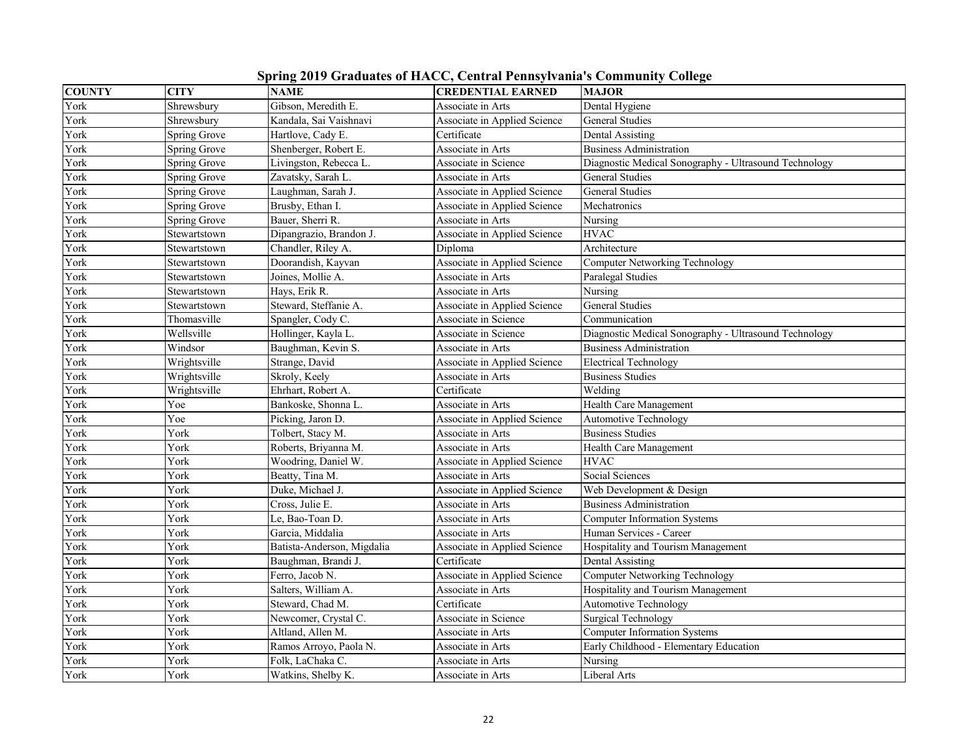|  |  |  | Spring 2019 Graduates of HACC, Central Pennsylvania's Community College |  |
|--|--|--|-------------------------------------------------------------------------|--|
|  |  |  |                                                                         |  |

| <b>COUNTY</b> | <b>CITY</b>         | <b>NAME</b>                | <b>CREDENTIAL EARNED</b>     | <b>MAJOR</b>                                          |  |
|---------------|---------------------|----------------------------|------------------------------|-------------------------------------------------------|--|
| York          | Shrewsbury          | Gibson, Meredith E.        | Associate in Arts            | Dental Hygiene                                        |  |
| York          | Shrewsbury          | Kandala, Sai Vaishnavi     | Associate in Applied Science | <b>General Studies</b>                                |  |
| York          | <b>Spring Grove</b> | Hartlove, Cady E.          | Certificate                  | <b>Dental Assisting</b>                               |  |
| York          | Spring Grove        | Shenberger, Robert E.      | Associate in Arts            | <b>Business Administration</b>                        |  |
| York          | <b>Spring Grove</b> | Livingston, Rebecca L.     | Associate in Science         | Diagnostic Medical Sonography - Ultrasound Technology |  |
| York          | Spring Grove        | Zavatsky, Sarah L.         | Associate in Arts            | <b>General Studies</b>                                |  |
| York          | Spring Grove        | Laughman, Sarah J.         | Associate in Applied Science | <b>General Studies</b>                                |  |
| York          | Spring Grove        | Brusby, Ethan I.           | Associate in Applied Science | Mechatronics                                          |  |
| York          | Spring Grove        | Bauer, Sherri R.           | Associate in Arts            | Nursing                                               |  |
| York          | Stewartstown        | Dipangrazio, Brandon J.    | Associate in Applied Science | <b>HVAC</b>                                           |  |
| York          | Stewartstown        | Chandler, Riley A.         | Diploma                      | Architecture                                          |  |
| York          | Stewartstown        | Doorandish, Kayvan         | Associate in Applied Science | <b>Computer Networking Technology</b>                 |  |
| York          | Stewartstown        | Joines, Mollie A.          | Associate in Arts            | Paralegal Studies                                     |  |
| York          | Stewartstown        | Hays, Erik R.              | Associate in Arts            | Nursing                                               |  |
| York          | Stewartstown        | Steward, Steffanie A.      | Associate in Applied Science | <b>General Studies</b>                                |  |
| York          | Thomasville         | Spangler, Cody C.          | Associate in Science         | Communication                                         |  |
| York          | Wellsville          | Hollinger, Kayla L.        | Associate in Science         | Diagnostic Medical Sonography - Ultrasound Technology |  |
| York          | Windsor             | Baughman, Kevin S.         | Associate in Arts            | <b>Business Administration</b>                        |  |
| York          | Wrightsville        | Strange, David             | Associate in Applied Science | <b>Electrical Technology</b>                          |  |
| York          | Wrightsville        | Skroly, Keely              | Associate in Arts            | <b>Business Studies</b>                               |  |
| York          | Wrightsville        | Ehrhart, Robert A.         | Certificate                  | Welding                                               |  |
| York          | Yoe                 | Bankoske, Shonna L.        | Associate in Arts            | Health Care Management                                |  |
| York          | Yoe                 | Picking, Jaron D.          | Associate in Applied Science | <b>Automotive Technology</b>                          |  |
| York          | York                | Tolbert, Stacy M.          | Associate in Arts            | <b>Business Studies</b>                               |  |
| York          | York                | Roberts, Briyanna M.       | Associate in Arts            | Health Care Management                                |  |
| York          | York                | Woodring, Daniel W.        | Associate in Applied Science | <b>HVAC</b>                                           |  |
| York          | York                | Beatty, Tina M.            | Associate in Arts            | Social Sciences                                       |  |
| York          | York                | Duke, Michael J.           | Associate in Applied Science | Web Development & Design                              |  |
| York          | York                | Cross, Julie E.            | Associate in Arts            | <b>Business Administration</b>                        |  |
| York          | York                | Le. Bao-Toan D.            | Associate in Arts            | <b>Computer Information Systems</b>                   |  |
| York          | York                | Garcia, Middalia           | Associate in Arts            | Human Services - Career                               |  |
| York          | York                | Batista-Anderson, Migdalia | Associate in Applied Science | Hospitality and Tourism Management                    |  |
| York          | York                | Baughman, Brandi J.        | Certificate                  | <b>Dental Assisting</b>                               |  |
| York          | York                | Ferro, Jacob N.            | Associate in Applied Science | <b>Computer Networking Technology</b>                 |  |
| York          | York                | Salters, William A.        | Associate in Arts            | Hospitality and Tourism Management                    |  |
| York          | York                | Steward, Chad M.           | Certificate                  | <b>Automotive Technology</b>                          |  |
| York          | York                | Newcomer, Crystal C.       | Associate in Science         | <b>Surgical Technology</b>                            |  |
| York          | York                | Altland, Allen M.          | Associate in Arts            | <b>Computer Information Systems</b>                   |  |
| York          | York                | Ramos Arroyo, Paola N.     | Associate in Arts            | Early Childhood - Elementary Education                |  |
| York          | York                | Folk, LaChaka C.           | Associate in Arts            | Nursing                                               |  |
| York          | York                | Watkins, Shelby K.         | Associate in Arts            | Liberal Arts                                          |  |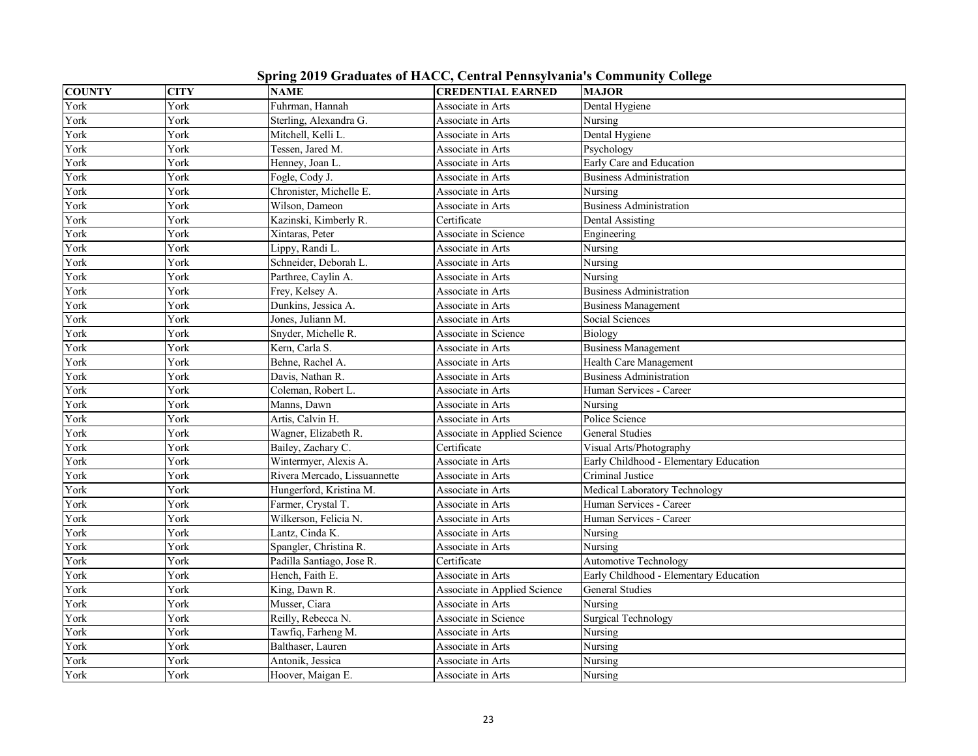|  |  |  |  | Spring 2019 Graduates of HACC, Central Pennsylvania's Community College |  |
|--|--|--|--|-------------------------------------------------------------------------|--|
|  |  |  |  |                                                                         |  |

| <b>COUNTY</b> | <b>CITY</b> | <b>NAME</b>                  | <b>CREDENTIAL EARNED</b>     | <b>MAJOR</b>                           |  |
|---------------|-------------|------------------------------|------------------------------|----------------------------------------|--|
| York          | York        | Fuhrman, Hannah              | Associate in Arts            | Dental Hygiene                         |  |
| York          | York        | Sterling, Alexandra G.       | Associate in Arts            | Nursing                                |  |
| York          | York        | Mitchell, Kelli L.           | Associate in Arts            | Dental Hygiene                         |  |
| York          | York        | Tessen, Jared M.             | Associate in Arts            | Psychology                             |  |
| York          | York        | Henney, Joan L.              | Associate in Arts            | Early Care and Education               |  |
| York          | York        | Fogle, Cody J.               | Associate in Arts            | <b>Business Administration</b>         |  |
| York          | York        | Chronister, Michelle E.      | Associate in Arts            | Nursing                                |  |
| York          | York        | Wilson, Dameon               | Associate in Arts            | <b>Business Administration</b>         |  |
| York          | York        | Kazinski, Kimberly R.        | Certificate                  | Dental Assisting                       |  |
| York          | York        | Xintaras, Peter              | Associate in Science         | Engineering                            |  |
| York          | York        | Lippy, Randi L.              | Associate in Arts            | Nursing                                |  |
| York          | York        | Schneider, Deborah L.        | Associate in Arts            | Nursing                                |  |
| York          | York        | Parthree, Caylin A.          | Associate in Arts            | Nursing                                |  |
| York          | York        | Frey, Kelsey A.              | Associate in Arts            | <b>Business Administration</b>         |  |
| York          | York        | Dunkins, Jessica A.          | Associate in Arts            | <b>Business Management</b>             |  |
| York          | York        | Jones, Juliann M.            | Associate in Arts            | Social Sciences                        |  |
| York          | York        | Snyder, Michelle R.          | Associate in Science         | <b>Biology</b>                         |  |
| York          | York        | Kern, Carla S.               | Associate in Arts            | <b>Business Management</b>             |  |
| York          | York        | Behne, Rachel A.             | Associate in Arts            | Health Care Management                 |  |
| York          | York        | Davis, Nathan R.             | Associate in Arts            | <b>Business Administration</b>         |  |
| York          | York        | Coleman, Robert L.           | Associate in Arts            | Human Services - Career                |  |
| York          | York        | Manns, Dawn                  | Associate in Arts            | Nursing                                |  |
| York          | York        | Artis, Calvin H.             | Associate in Arts            | Police Science                         |  |
| York          | York        | Wagner, Elizabeth R.         | Associate in Applied Science | <b>General Studies</b>                 |  |
| York          | York        | Bailey, Zachary C.           | Certificate                  | Visual Arts/Photography                |  |
| York          | York        | Wintermyer, Alexis A.        | Associate in Arts            | Early Childhood - Elementary Education |  |
| York          | York        | Rivera Mercado, Lissuannette | Associate in Arts            | Criminal Justice                       |  |
| York          | York        | Hungerford, Kristina M.      | Associate in Arts            | Medical Laboratory Technology          |  |
| York          | York        | Farmer, Crystal T.           | Associate in Arts            | Human Services - Career                |  |
| York          | York        | Wilkerson, Felicia N.        | Associate in Arts            | Human Services - Career                |  |
| York          | York        | Lantz, Cinda K.              | Associate in Arts            | Nursing                                |  |
| York          | York        | Spangler, Christina R.       | Associate in Arts            | Nursing                                |  |
| York          | York        | Padilla Santiago, Jose R.    | Certificate                  | <b>Automotive Technology</b>           |  |
| York          | York        | Hench, Faith E.              | Associate in Arts            | Early Childhood - Elementary Education |  |
| York          | York        | King, Dawn R.                | Associate in Applied Science | <b>General Studies</b>                 |  |
| York          | York        | Musser, Ciara                | Associate in Arts            | Nursing                                |  |
| York          | York        | Reilly, Rebecca N.           | Associate in Science         | <b>Surgical Technology</b>             |  |
| York          | York        | Tawfiq, Farheng M.           | Associate in Arts            | Nursing                                |  |
| York          | York        | Balthaser, Lauren            | Associate in Arts            | Nursing                                |  |
| York          | York        | Antonik, Jessica             | Associate in Arts            | Nursing                                |  |
| York          | York        | Hoover, Maigan E.            | Associate in Arts            | Nursing                                |  |